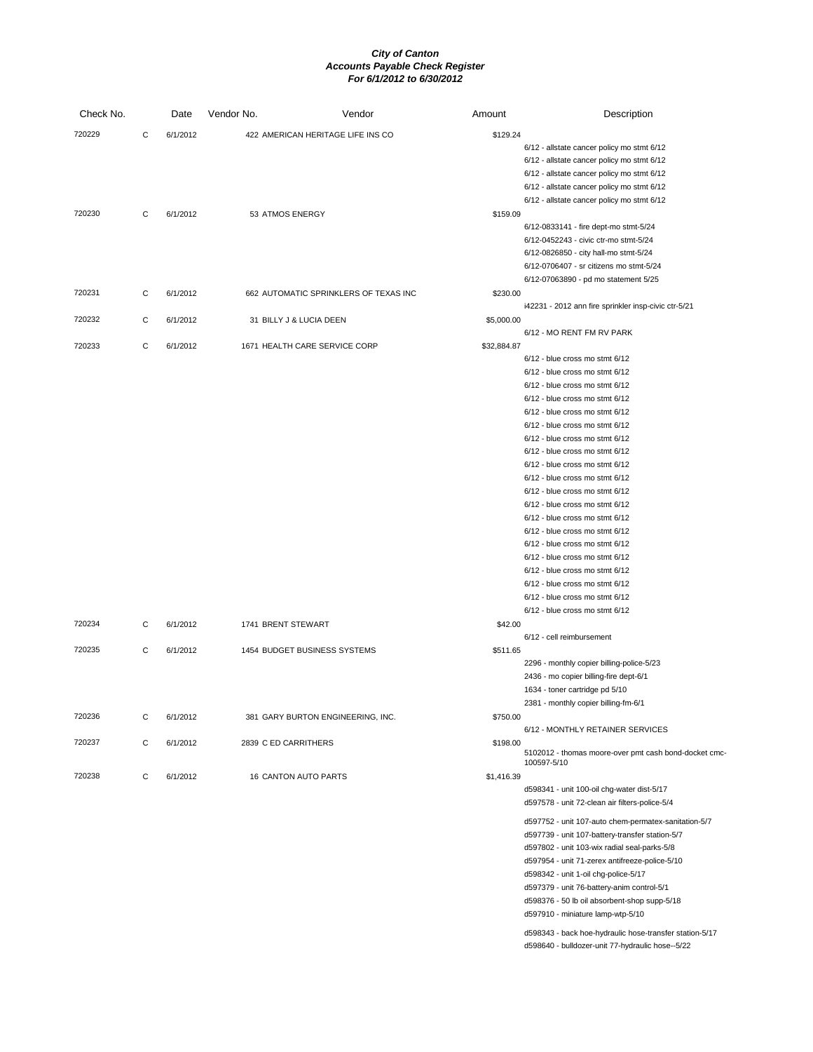| Check No. |   | Date     | Vendor No.           | Vendor                                | Amount      | Description                                                          |
|-----------|---|----------|----------------------|---------------------------------------|-------------|----------------------------------------------------------------------|
| 720229    | C | 6/1/2012 |                      | 422 AMERICAN HERITAGE LIFE INS CO     | \$129.24    |                                                                      |
|           |   |          |                      |                                       |             | 6/12 - allstate cancer policy mo stmt 6/12                           |
|           |   |          |                      |                                       |             | 6/12 - allstate cancer policy mo stmt 6/12                           |
|           |   |          |                      |                                       |             | 6/12 - allstate cancer policy mo stmt 6/12                           |
|           |   |          |                      |                                       |             | 6/12 - allstate cancer policy mo stmt 6/12                           |
|           |   |          |                      |                                       |             | 6/12 - allstate cancer policy mo stmt 6/12                           |
| 720230    | C | 6/1/2012 | 53 ATMOS ENERGY      |                                       | \$159.09    |                                                                      |
|           |   |          |                      |                                       |             | 6/12-0833141 - fire dept-mo stmt-5/24                                |
|           |   |          |                      |                                       |             | 6/12-0452243 - civic ctr-mo stmt-5/24                                |
|           |   |          |                      |                                       |             | 6/12-0826850 - city hall-mo stmt-5/24                                |
|           |   |          |                      |                                       |             | 6/12-0706407 - sr citizens mo stmt-5/24                              |
|           |   |          |                      |                                       |             | 6/12-07063890 - pd mo statement 5/25                                 |
| 720231    | C | 6/1/2012 |                      | 662 AUTOMATIC SPRINKLERS OF TEXAS INC | \$230.00    |                                                                      |
|           |   |          |                      |                                       |             | i42231 - 2012 ann fire sprinkler insp-civic ctr-5/21                 |
| 720232    | C | 6/1/2012 |                      | 31 BILLY J & LUCIA DEEN               | \$5,000.00  |                                                                      |
|           |   |          |                      |                                       |             | 6/12 - MO RENT FM RV PARK                                            |
| 720233    | С | 6/1/2012 |                      | 1671 HEALTH CARE SERVICE CORP         | \$32,884.87 |                                                                      |
|           |   |          |                      |                                       |             | 6/12 - blue cross mo stmt 6/12                                       |
|           |   |          |                      |                                       |             | 6/12 - blue cross mo stmt 6/12                                       |
|           |   |          |                      |                                       |             | $6/12$ - blue cross mo stmt $6/12$                                   |
|           |   |          |                      |                                       |             | 6/12 - blue cross mo stmt 6/12                                       |
|           |   |          |                      |                                       |             |                                                                      |
|           |   |          |                      |                                       |             | 6/12 - blue cross mo stmt 6/12                                       |
|           |   |          |                      |                                       |             | $6/12$ - blue cross mo stmt $6/12$<br>6/12 - blue cross mo stmt 6/12 |
|           |   |          |                      |                                       |             |                                                                      |
|           |   |          |                      |                                       |             | 6/12 - blue cross mo stmt 6/12                                       |
|           |   |          |                      |                                       |             | 6/12 - blue cross mo stmt 6/12                                       |
|           |   |          |                      |                                       |             | 6/12 - blue cross mo stmt 6/12                                       |
|           |   |          |                      |                                       |             | $6/12$ - blue cross mo stmt $6/12$                                   |
|           |   |          |                      |                                       |             | 6/12 - blue cross mo stmt 6/12                                       |
|           |   |          |                      |                                       |             | 6/12 - blue cross mo stmt 6/12                                       |
|           |   |          |                      |                                       |             | $6/12$ - blue cross mo stmt $6/12$                                   |
|           |   |          |                      |                                       |             | 6/12 - blue cross mo stmt 6/12                                       |
|           |   |          |                      |                                       |             | 6/12 - blue cross mo stmt 6/12                                       |
|           |   |          |                      |                                       |             | 6/12 - blue cross mo stmt 6/12                                       |
|           |   |          |                      |                                       |             | 6/12 - blue cross mo stmt 6/12                                       |
|           |   |          |                      |                                       |             | 6/12 - blue cross mo stmt 6/12                                       |
|           |   |          |                      |                                       |             | $6/12$ - blue cross mo stmt $6/12$                                   |
| 720234    | C | 6/1/2012 | 1741 BRENT STEWART   |                                       | \$42.00     |                                                                      |
|           |   |          |                      |                                       |             | 6/12 - cell reimbursement                                            |
| 720235    | С | 6/1/2012 |                      | 1454 BUDGET BUSINESS SYSTEMS          | \$511.65    |                                                                      |
|           |   |          |                      |                                       |             | 2296 - monthly copier billing-police-5/23                            |
|           |   |          |                      |                                       |             | 2436 - mo copier billing-fire dept-6/1                               |
|           |   |          |                      |                                       |             | 1634 - toner cartridge pd 5/10                                       |
|           |   |          |                      |                                       |             | 2381 - monthly copier billing-fm-6/1                                 |
| 720236    | C | 6/1/2012 |                      | 381 GARY BURTON ENGINEERING, INC.     | \$750.00    |                                                                      |
|           |   |          |                      |                                       |             | 6/12 - MONTHLY RETAINER SERVICES                                     |
| 720237    | C | 6/1/2012 | 2839 C ED CARRITHERS |                                       | \$198.00    |                                                                      |
|           |   |          |                      |                                       |             | 5102012 - thomas moore-over pmt cash bond-docket cmc<br>100597-5/10  |
| 720238    | С | 6/1/2012 |                      | 16 CANTON AUTO PARTS                  | \$1,416.39  |                                                                      |
|           |   |          |                      |                                       |             | d598341 - unit 100-oil chg-water dist-5/17                           |
|           |   |          |                      |                                       |             | d597578 - unit 72-clean air filters-police-5/4                       |
|           |   |          |                      |                                       |             |                                                                      |
|           |   |          |                      |                                       |             | d597752 - unit 107-auto chem-permatex-sanitation-5/7                 |
|           |   |          |                      |                                       |             | d597739 - unit 107-battery-transfer station-5/7                      |
|           |   |          |                      |                                       |             | d597802 - unit 103-wix radial seal-parks-5/8                         |
|           |   |          |                      |                                       |             | d597954 - unit 71-zerex antifreeze-police-5/10                       |
|           |   |          |                      |                                       |             | d598342 - unit 1-oil chg-police-5/17                                 |
|           |   |          |                      |                                       |             | d597379 - unit 76-battery-anim control-5/1                           |
|           |   |          |                      |                                       |             | d598376 - 50 lb oil absorbent-shop supp-5/18                         |
|           |   |          |                      |                                       |             | d597910 - miniature lamp-wtp-5/10                                    |

d598343 - back hoe-hydraulic hose-transfer station-5/17 d598640 - bulldozer-unit 77-hydraulic hose--5/22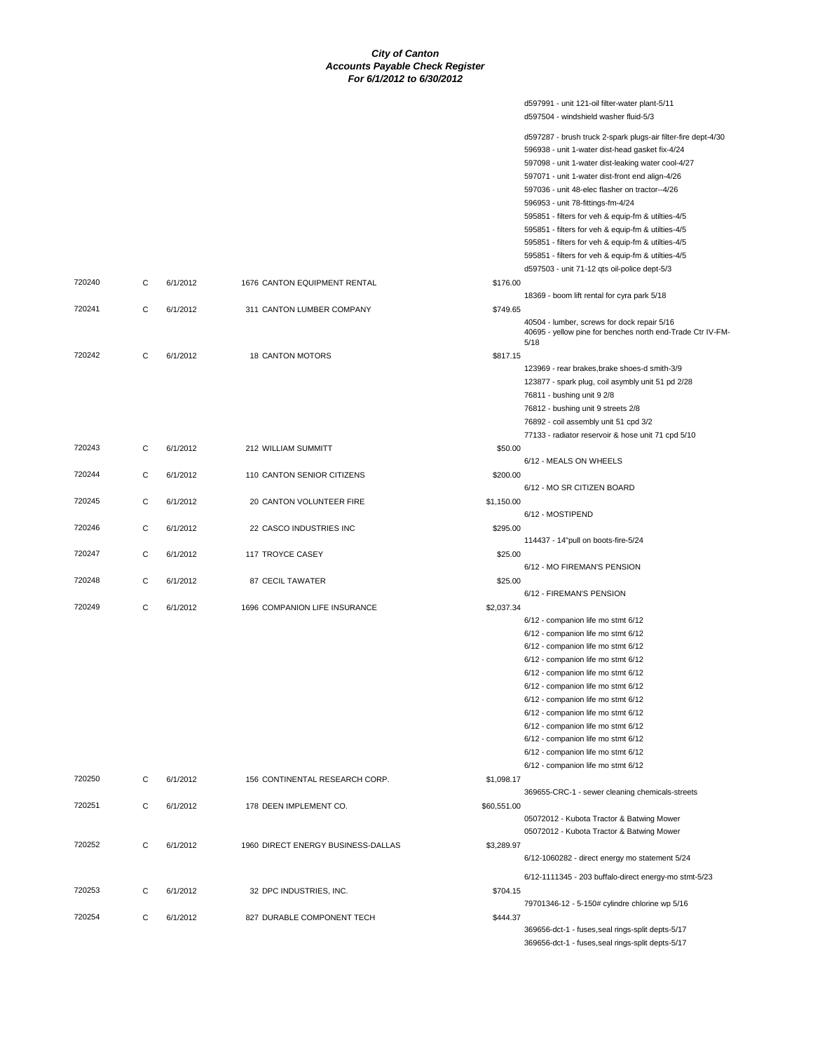d597991 - unit 121-oil filter-water plant-5/11 d597504 - windshield washer fluid-5/3

|        |   |          |                                    |             | d597287 - brush truck 2-spark plugs-air filter-fire dept-4/30<br>596938 - unit 1-water dist-head gasket fix-4/24<br>597098 - unit 1-water dist-leaking water cool-4/27<br>597071 - unit 1-water dist-front end align-4/26<br>597036 - unit 48-elec flasher on tractor--4/26<br>596953 - unit 78-fittings-fm-4/24<br>595851 - filters for veh & equip-fm & utilties-4/5<br>595851 - filters for veh & equip-fm & utilties-4/5<br>595851 - filters for veh & equip-fm & utilties-4/5<br>595851 - filters for veh & equip-fm & utilties-4/5<br>d597503 - unit 71-12 qts oil-police dept-5/3 |
|--------|---|----------|------------------------------------|-------------|------------------------------------------------------------------------------------------------------------------------------------------------------------------------------------------------------------------------------------------------------------------------------------------------------------------------------------------------------------------------------------------------------------------------------------------------------------------------------------------------------------------------------------------------------------------------------------------|
| 720240 | С | 6/1/2012 | 1676 CANTON EQUIPMENT RENTAL       | \$176.00    | 18369 - boom lift rental for cyra park 5/18                                                                                                                                                                                                                                                                                                                                                                                                                                                                                                                                              |
| 720241 | С | 6/1/2012 | 311 CANTON LUMBER COMPANY          | \$749.65    | 40504 - lumber, screws for dock repair 5/16<br>40695 - yellow pine for benches north end-Trade Ctr IV-FM-<br>5/18                                                                                                                                                                                                                                                                                                                                                                                                                                                                        |
| 720242 | C | 6/1/2012 | <b>18 CANTON MOTORS</b>            | \$817.15    | 123969 - rear brakes, brake shoes-d smith-3/9<br>123877 - spark plug, coil asymbly unit 51 pd 2/28<br>76811 - bushing unit 9 2/8<br>76812 - bushing unit 9 streets 2/8<br>76892 - coil assembly unit 51 cpd 3/2                                                                                                                                                                                                                                                                                                                                                                          |
| 720243 | С | 6/1/2012 | 212 WILLIAM SUMMITT                | \$50.00     | 77133 - radiator reservoir & hose unit 71 cpd 5/10                                                                                                                                                                                                                                                                                                                                                                                                                                                                                                                                       |
| 720244 | C | 6/1/2012 | 110 CANTON SENIOR CITIZENS         | \$200.00    | 6/12 - MEALS ON WHEELS                                                                                                                                                                                                                                                                                                                                                                                                                                                                                                                                                                   |
| 720245 | С | 6/1/2012 | 20 CANTON VOLUNTEER FIRE           | \$1,150.00  | 6/12 - MO SR CITIZEN BOARD                                                                                                                                                                                                                                                                                                                                                                                                                                                                                                                                                               |
| 720246 | С | 6/1/2012 | 22 CASCO INDUSTRIES INC            | \$295.00    | 6/12 - MOSTIPEND                                                                                                                                                                                                                                                                                                                                                                                                                                                                                                                                                                         |
| 720247 | C | 6/1/2012 | 117 TROYCE CASEY                   | \$25.00     | 114437 - 14"pull on boots-fire-5/24                                                                                                                                                                                                                                                                                                                                                                                                                                                                                                                                                      |
| 720248 | С | 6/1/2012 | 87 CECIL TAWATER                   | \$25.00     | 6/12 - MO FIREMAN'S PENSION                                                                                                                                                                                                                                                                                                                                                                                                                                                                                                                                                              |
| 720249 | С | 6/1/2012 | 1696 COMPANION LIFE INSURANCE      | \$2,037.34  | 6/12 - FIREMAN'S PENSION                                                                                                                                                                                                                                                                                                                                                                                                                                                                                                                                                                 |
|        |   |          |                                    |             | 6/12 - companion life mo stmt 6/12<br>6/12 - companion life mo stmt 6/12<br>6/12 - companion life mo stmt 6/12<br>6/12 - companion life mo stmt 6/12<br>6/12 - companion life mo stmt 6/12<br>6/12 - companion life mo stmt 6/12<br>6/12 - companion life mo stmt 6/12<br>6/12 - companion life mo stmt 6/12<br>6/12 - companion life mo stmt 6/12<br>6/12 - companion life mo stmt 6/12<br>6/12 - companion life mo stmt 6/12<br>6/12 - companion life mo stmt 6/12                                                                                                                     |
| 720250 | С | 6/1/2012 | 156 CONTINENTAL RESEARCH CORP.     | \$1,098.17  | 369655-CRC-1 - sewer cleaning chemicals-streets                                                                                                                                                                                                                                                                                                                                                                                                                                                                                                                                          |
| 720251 | С | 6/1/2012 | 178 DEEN IMPLEMENT CO.             | \$60,551.00 | 05072012 - Kubota Tractor & Batwing Mower<br>05072012 - Kubota Tractor & Batwing Mower                                                                                                                                                                                                                                                                                                                                                                                                                                                                                                   |
| 720252 | С | 6/1/2012 | 1960 DIRECT ENERGY BUSINESS-DALLAS | \$3,289.97  | 6/12-1060282 - direct energy mo statement 5/24                                                                                                                                                                                                                                                                                                                                                                                                                                                                                                                                           |
| 720253 | С | 6/1/2012 | 32 DPC INDUSTRIES, INC.            | \$704.15    | 6/12-1111345 - 203 buffalo-direct energy-mo stmt-5/23                                                                                                                                                                                                                                                                                                                                                                                                                                                                                                                                    |
| 720254 | С | 6/1/2012 | 827 DURABLE COMPONENT TECH         | \$444.37    | 79701346-12 - 5-150# cylindre chlorine wp 5/16<br>369656-dct-1 - fuses, seal rings-split depts-5/17<br>369656-dct-1 - fuses, seal rings-split depts-5/17                                                                                                                                                                                                                                                                                                                                                                                                                                 |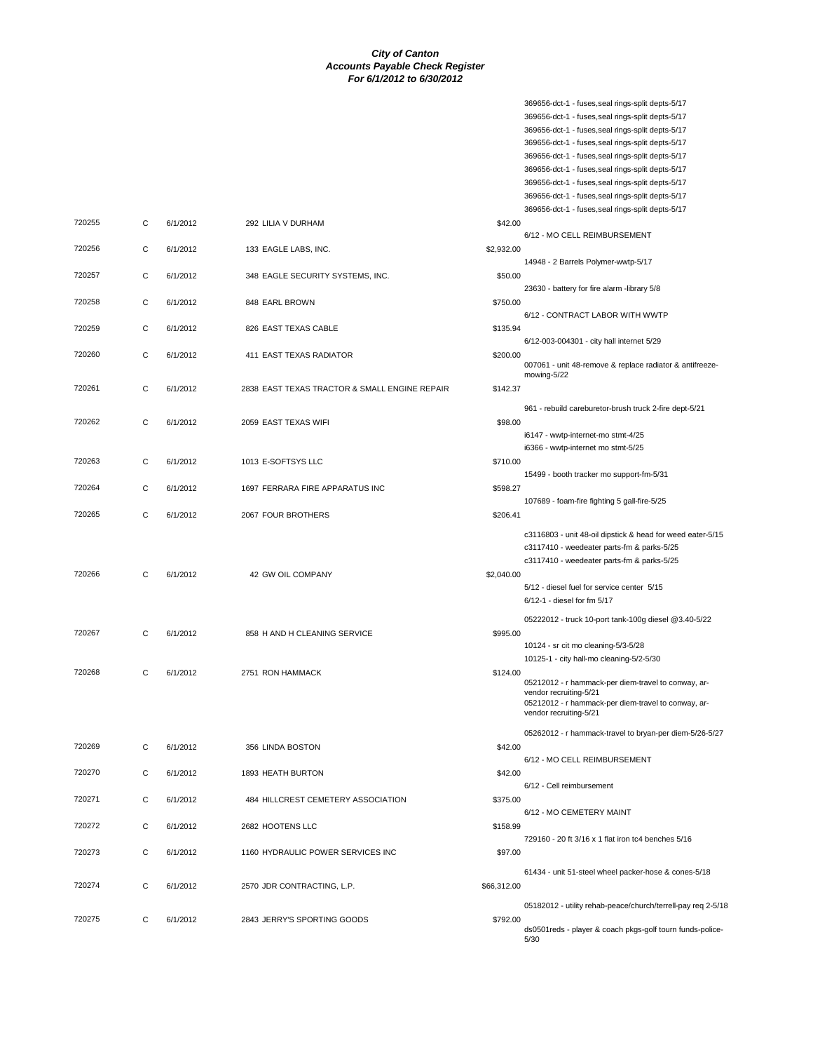369656-dct-1 - fuses,seal rings-split depts-5/17 369656-dct-1 - fuses,seal rings-split depts-5/17 369656-dct-1 - fuses,seal rings-split depts-5/17 369656-dct-1 - fuses,seal rings-split depts-5/17

|        |   |          |                                               |             | 369656-dct-1 - fuses, seal rings-split depts-5/17            |
|--------|---|----------|-----------------------------------------------|-------------|--------------------------------------------------------------|
|        |   |          |                                               |             | 369656-dct-1 - fuses, seal rings-split depts-5/17            |
|        |   |          |                                               |             | 369656-dct-1 - fuses, seal rings-split depts-5/17            |
|        |   |          |                                               |             | 369656-dct-1 - fuses, seal rings-split depts-5/17            |
|        |   |          |                                               |             | 369656-dct-1 - fuses, seal rings-split depts-5/17            |
| 720255 | С | 6/1/2012 | 292 LILIA V DURHAM                            | \$42.00     |                                                              |
|        |   |          |                                               |             | 6/12 - MO CELL REIMBURSEMENT                                 |
| 720256 | С | 6/1/2012 | 133 EAGLE LABS, INC.                          | \$2,932.00  |                                                              |
|        |   |          |                                               |             | 14948 - 2 Barrels Polymer-wwtp-5/17                          |
| 720257 | С | 6/1/2012 | 348 EAGLE SECURITY SYSTEMS, INC.              | \$50.00     |                                                              |
|        |   |          |                                               |             | 23630 - battery for fire alarm -library 5/8                  |
| 720258 | C | 6/1/2012 | 848 EARL BROWN                                | \$750.00    |                                                              |
|        |   |          |                                               |             | 6/12 - CONTRACT LABOR WITH WWTP                              |
| 720259 | С | 6/1/2012 | 826 EAST TEXAS CABLE                          | \$135.94    |                                                              |
|        |   |          |                                               |             | 6/12-003-004301 - city hall internet 5/29                    |
| 720260 | С | 6/1/2012 | 411 EAST TEXAS RADIATOR                       | \$200.00    |                                                              |
|        |   |          |                                               |             | 007061 - unit 48-remove & replace radiator & antifreeze-     |
|        |   |          |                                               |             | mowing-5/22                                                  |
| 720261 | С | 6/1/2012 | 2838 EAST TEXAS TRACTOR & SMALL ENGINE REPAIR | \$142.37    |                                                              |
|        |   |          |                                               |             | 961 - rebuild careburetor-brush truck 2-fire dept-5/21       |
| 720262 | С | 6/1/2012 | 2059 EAST TEXAS WIFI                          | \$98.00     |                                                              |
|        |   |          |                                               |             | i6147 - wwtp-internet-mo stmt-4/25                           |
|        |   |          |                                               |             | i6366 - wwtp-internet mo stmt-5/25                           |
| 720263 | С | 6/1/2012 | 1013 E-SOFTSYS LLC                            | \$710.00    |                                                              |
|        |   |          |                                               |             | 15499 - booth tracker mo support-fm-5/31                     |
| 720264 | С | 6/1/2012 | 1697 FERRARA FIRE APPARATUS INC               | \$598.27    |                                                              |
|        |   |          |                                               |             | 107689 - foam-fire fighting 5 gall-fire-5/25                 |
| 720265 | С | 6/1/2012 | 2067 FOUR BROTHERS                            |             |                                                              |
|        |   |          |                                               | \$206.41    |                                                              |
|        |   |          |                                               |             | c3116803 - unit 48-oil dipstick & head for weed eater-5/15   |
|        |   |          |                                               |             | c3117410 - weedeater parts-fm & parks-5/25                   |
|        |   |          |                                               |             | c3117410 - weedeater parts-fm & parks-5/25                   |
| 720266 | С | 6/1/2012 | 42 GW OIL COMPANY                             | \$2,040.00  |                                                              |
|        |   |          |                                               |             | 5/12 - diesel fuel for service center 5/15                   |
|        |   |          |                                               |             | 6/12-1 - diesel for fm 5/17                                  |
|        |   |          |                                               |             |                                                              |
|        |   |          |                                               |             | 05222012 - truck 10-port tank-100g diesel @3.40-5/22         |
| 720267 | C | 6/1/2012 | 858 H AND H CLEANING SERVICE                  | \$995.00    |                                                              |
|        |   |          |                                               |             | 10124 - sr cit mo cleaning-5/3-5/28                          |
|        |   |          |                                               |             | 10125-1 - city hall-mo cleaning-5/2-5/30                     |
| 720268 | С | 6/1/2012 | 2751 RON HAMMACK                              | \$124.00    | 05212012 - r hammack-per diem-travel to conway, ar-          |
|        |   |          |                                               |             | vendor recruiting-5/21                                       |
|        |   |          |                                               |             | 05212012 - r hammack-per diem-travel to conway, ar-          |
|        |   |          |                                               |             | vendor recruiting-5/21                                       |
|        |   |          |                                               |             | 05262012 - r hammack-travel to bryan-per diem-5/26-5/27      |
| 720269 | С | 6/1/2012 | 356 LINDA BOSTON                              | \$42.00     |                                                              |
|        |   |          |                                               |             | 6/12 - MO CELL REIMBURSEMENT                                 |
| 720270 | С | 6/1/2012 | 1893 HEATH BURTON                             | \$42.00     |                                                              |
|        |   |          |                                               |             | 6/12 - Cell reimbursement                                    |
| 720271 | С | 6/1/2012 | 484 HILLCREST CEMETERY ASSOCIATION            | \$375.00    |                                                              |
|        |   |          |                                               |             | 6/12 - MO CEMETERY MAINT                                     |
| 720272 | С | 6/1/2012 | 2682 HOOTENS LLC                              | \$158.99    |                                                              |
|        |   |          |                                               |             | 729160 - 20 ft 3/16 x 1 flat iron tc4 benches 5/16           |
| 720273 | С | 6/1/2012 |                                               | \$97.00     |                                                              |
|        |   |          | 1160 HYDRAULIC POWER SERVICES INC             |             |                                                              |
|        |   |          |                                               |             | 61434 - unit 51-steel wheel packer-hose & cones-5/18         |
| 720274 | С | 6/1/2012 | 2570 JDR CONTRACTING, L.P.                    | \$66,312.00 |                                                              |
|        |   |          |                                               |             |                                                              |
|        |   |          |                                               |             | 05182012 - utility rehab-peace/church/terrell-pay req 2-5/18 |
| 720275 | С | 6/1/2012 | 2843 JERRY'S SPORTING GOODS                   | \$792.00    | ds0501reds - player & coach pkgs-golf tourn funds-police-    |
|        |   |          |                                               |             | 5/30                                                         |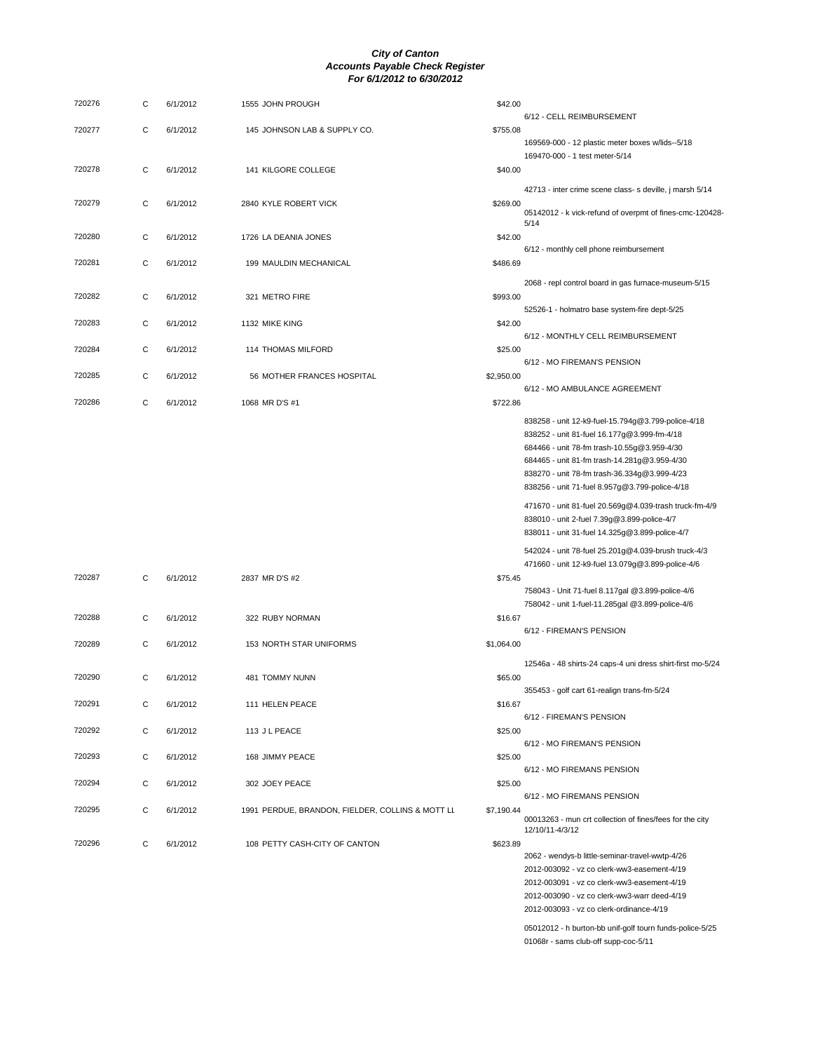| 720276 | C           | 6/1/2012 | 1555 JOHN PROUGH                                 | \$42.00    |                                                                                                          |
|--------|-------------|----------|--------------------------------------------------|------------|----------------------------------------------------------------------------------------------------------|
| 720277 | C           | 6/1/2012 | 145 JOHNSON LAB & SUPPLY CO.                     | \$755.08   | 6/12 - CELL REIMBURSEMENT                                                                                |
|        |             |          |                                                  |            | 169569-000 - 12 plastic meter boxes w/lids--5/18                                                         |
| 720278 | C           | 6/1/2012 | 141 KILGORE COLLEGE                              | \$40.00    | 169470-000 - 1 test meter-5/14                                                                           |
|        |             |          |                                                  |            | 42713 - inter crime scene class- s deville, j marsh 5/14                                                 |
| 720279 | C           | 6/1/2012 | 2840 KYLE ROBERT VICK                            | \$269.00   | 05142012 - k vick-refund of overpmt of fines-cmc-120428-                                                 |
|        |             |          |                                                  |            | 5/14                                                                                                     |
| 720280 | C           | 6/1/2012 | 1726 LA DEANIA JONES                             | \$42.00    | 6/12 - monthly cell phone reimbursement                                                                  |
| 720281 | $\mathbf C$ | 6/1/2012 | 199 MAULDIN MECHANICAL                           | \$486.69   |                                                                                                          |
| 720282 | C           |          |                                                  |            | 2068 - repl control board in gas furnace-museum-5/15                                                     |
|        |             | 6/1/2012 | 321 METRO FIRE                                   | \$993.00   | 52526-1 - holmatro base system-fire dept-5/25                                                            |
| 720283 | C           | 6/1/2012 | 1132 MIKE KING                                   | \$42.00    |                                                                                                          |
| 720284 | C           | 6/1/2012 | 114 THOMAS MILFORD                               | \$25.00    | 6/12 - MONTHLY CELL REIMBURSEMENT                                                                        |
| 720285 |             |          |                                                  |            | 6/12 - MO FIREMAN'S PENSION                                                                              |
|        | C           | 6/1/2012 | 56 MOTHER FRANCES HOSPITAL                       | \$2,950.00 | 6/12 - MO AMBULANCE AGREEMENT                                                                            |
| 720286 | C           | 6/1/2012 | 1068 MR D'S #1                                   | \$722.86   |                                                                                                          |
|        |             |          |                                                  |            | 838258 - unit 12-k9-fuel-15.794g@3.799-police-4/18                                                       |
|        |             |          |                                                  |            | 838252 - unit 81-fuel 16.177g@3.999-fm-4/18<br>684466 - unit 78-fm trash-10.55g@3.959-4/30               |
|        |             |          |                                                  |            | 684465 - unit 81-fm trash-14.281g@3.959-4/30                                                             |
|        |             |          |                                                  |            | 838270 - unit 78-fm trash-36.334g@3.999-4/23<br>838256 - unit 71-fuel 8.957g@3.799-police-4/18           |
|        |             |          |                                                  |            | 471670 - unit 81-fuel 20.569g@4.039-trash truck-fm-4/9                                                   |
|        |             |          |                                                  |            | 838010 - unit 2-fuel 7.39g@3.899-police-4/7                                                              |
|        |             |          |                                                  |            | 838011 - unit 31-fuel 14.325g@3.899-police-4/7                                                           |
|        |             |          |                                                  |            | 542024 - unit 78-fuel 25.201g@4.039-brush truck-4/3<br>471660 - unit 12-k9-fuel 13.079g@3.899-police-4/6 |
| 720287 | С           | 6/1/2012 | 2837 MR D'S #2                                   | \$75.45    |                                                                                                          |
|        |             |          |                                                  |            | 758043 - Unit 71-fuel 8.117gal @3.899-police-4/6<br>758042 - unit 1-fuel-11.285gal @3.899-police-4/6     |
| 720288 | C           | 6/1/2012 | 322 RUBY NORMAN                                  | \$16.67    |                                                                                                          |
| 720289 | C           | 6/1/2012 | 153 NORTH STAR UNIFORMS                          | \$1,064.00 | 6/12 - FIREMAN'S PENSION                                                                                 |
|        |             |          |                                                  |            | 12546a - 48 shirts-24 caps-4 uni dress shirt-first mo-5/24                                               |
| 720290 | C           | 6/1/2012 | 481 TOMMY NUNN                                   | \$65.00    |                                                                                                          |
| 720291 | С           | 6/1/2012 | 111 HELEN PEACE                                  | \$16.67    | 355453 - golf cart 61-realign trans-fm-5/24                                                              |
| 720292 |             |          |                                                  |            | 6/12 - FIREMAN'S PENSION                                                                                 |
|        | C           | 6/1/2012 | 113 J L PEACE                                    | \$25.00    | 6/12 - MO FIREMAN'S PENSION                                                                              |
| 720293 | $\mathbf C$ | 6/1/2012 | 168 JIMMY PEACE                                  | \$25.00    |                                                                                                          |
| 720294 | С           | 6/1/2012 | 302 JOEY PEACE                                   | \$25.00    | 6/12 - MO FIREMANS PENSION                                                                               |
| 720295 |             |          |                                                  |            | 6/12 - MO FIREMANS PENSION                                                                               |
|        | C           | 6/1/2012 | 1991 PERDUE, BRANDON, FIELDER, COLLINS & MOTT LL | \$7,190.44 | 00013263 - mun crt collection of fines/fees for the city<br>12/10/11-4/3/12                              |
| 720296 | C           | 6/1/2012 | 108 PETTY CASH-CITY OF CANTON                    | \$623.89   |                                                                                                          |
|        |             |          |                                                  |            | 2062 - wendys-b little-seminar-travel-wwtp-4/26                                                          |
|        |             |          |                                                  |            | 2012-003092 - vz co clerk-ww3-easement-4/19<br>2012-003091 - vz co clerk-ww3-easement-4/19               |
|        |             |          |                                                  |            | 2012-003090 - vz co clerk-ww3-warr deed-4/19                                                             |
|        |             |          |                                                  |            | 2012-003093 - vz co clerk-ordinance-4/19                                                                 |
|        |             |          |                                                  |            | 05012012 - h burton-bb unif-golf tourn funds-police-5/25                                                 |

01068r - sams club-off supp-coc-5/11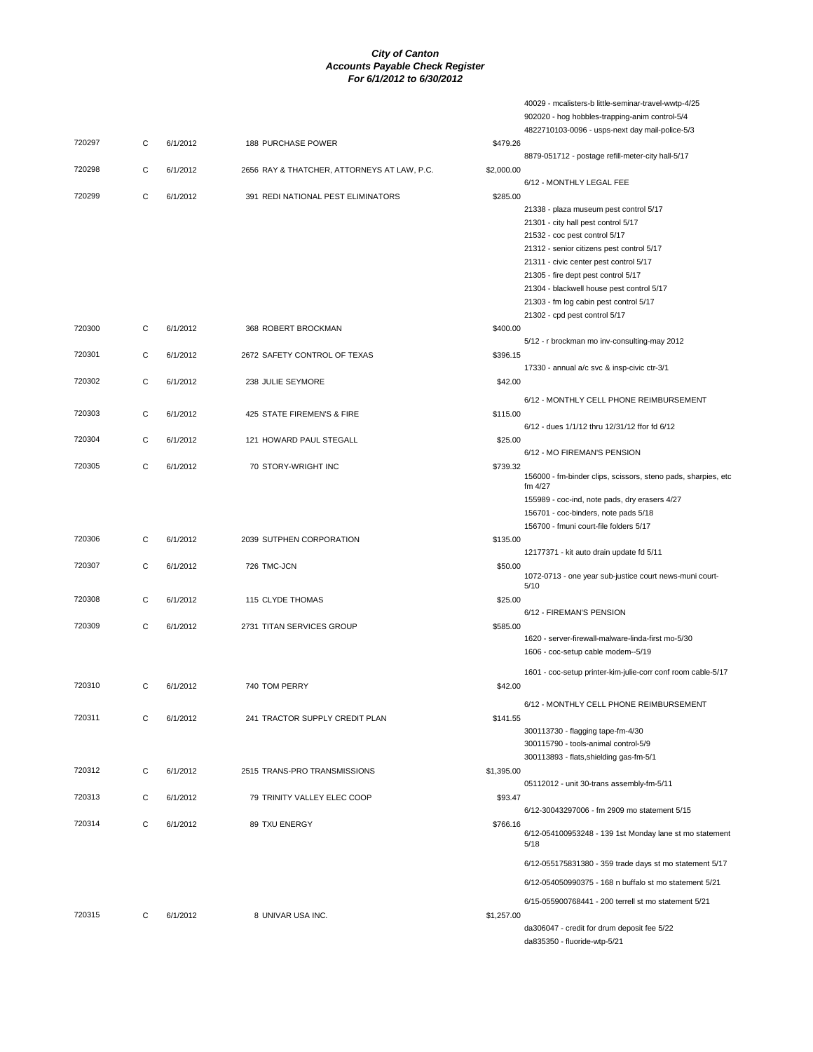|        |   |          |                                             |            | 40029 - mcalisters-b little-seminar-travel-wwtp-4/25                           |
|--------|---|----------|---------------------------------------------|------------|--------------------------------------------------------------------------------|
|        |   |          |                                             |            | 902020 - hog hobbles-trapping-anim control-5/4                                 |
|        |   |          |                                             |            | 4822710103-0096 - usps-next day mail-police-5/3                                |
| 720297 | С | 6/1/2012 | 188 PURCHASE POWER                          | \$479.26   | 8879-051712 - postage refill-meter-city hall-5/17                              |
| 720298 | С | 6/1/2012 | 2656 RAY & THATCHER, ATTORNEYS AT LAW, P.C. | \$2,000.00 |                                                                                |
|        |   |          |                                             |            | 6/12 - MONTHLY LEGAL FEE                                                       |
| 720299 | С | 6/1/2012 | 391 REDI NATIONAL PEST ELIMINATORS          | \$285.00   |                                                                                |
|        |   |          |                                             |            | 21338 - plaza museum pest control 5/17                                         |
|        |   |          |                                             |            | 21301 - city hall pest control 5/17                                            |
|        |   |          |                                             |            | 21532 - coc pest control 5/17                                                  |
|        |   |          |                                             |            | 21312 - senior citizens pest control 5/17                                      |
|        |   |          |                                             |            | 21311 - civic center pest control 5/17<br>21305 - fire dept pest control 5/17  |
|        |   |          |                                             |            | 21304 - blackwell house pest control 5/17                                      |
|        |   |          |                                             |            | 21303 - fm log cabin pest control 5/17                                         |
|        |   |          |                                             |            | 21302 - cpd pest control 5/17                                                  |
| 720300 | C | 6/1/2012 | 368 ROBERT BROCKMAN                         | \$400.00   |                                                                                |
|        |   |          |                                             |            | 5/12 - r brockman mo inv-consulting-may 2012                                   |
| 720301 | С | 6/1/2012 | 2672 SAFETY CONTROL OF TEXAS                | \$396.15   |                                                                                |
|        |   |          |                                             |            | 17330 - annual a/c svc & insp-civic ctr-3/1                                    |
| 720302 | С | 6/1/2012 | 238 JULIE SEYMORE                           | \$42.00    |                                                                                |
|        |   |          |                                             |            | 6/12 - MONTHLY CELL PHONE REIMBURSEMENT                                        |
| 720303 | С | 6/1/2012 | 425 STATE FIREMEN'S & FIRE                  | \$115.00   |                                                                                |
|        |   |          |                                             |            | 6/12 - dues 1/1/12 thru 12/31/12 ffor fd 6/12                                  |
| 720304 | С | 6/1/2012 | 121 HOWARD PAUL STEGALL                     | \$25.00    | 6/12 - MO FIREMAN'S PENSION                                                    |
| 720305 | С | 6/1/2012 | 70 STORY-WRIGHT INC                         | \$739.32   |                                                                                |
|        |   |          |                                             |            | 156000 - fm-binder clips, scissors, steno pads, sharpies, etc                  |
|        |   |          |                                             |            | fm $4/27$                                                                      |
|        |   |          |                                             |            | 155989 - coc-ind, note pads, dry erasers 4/27                                  |
|        |   |          |                                             |            | 156701 - coc-binders, note pads 5/18<br>156700 - fmuni court-file folders 5/17 |
| 720306 | С | 6/1/2012 | 2039 SUTPHEN CORPORATION                    | \$135.00   |                                                                                |
|        |   |          |                                             |            | 12177371 - kit auto drain update fd 5/11                                       |
| 720307 | С | 6/1/2012 | 726 TMC-JCN                                 | \$50.00    |                                                                                |
|        |   |          |                                             |            | 1072-0713 - one year sub-justice court news-muni court-                        |
| 720308 | C | 6/1/2012 | 115 CLYDE THOMAS                            | \$25.00    | 5/10                                                                           |
|        |   |          |                                             |            | 6/12 - FIREMAN'S PENSION                                                       |
| 720309 | С | 6/1/2012 | 2731 TITAN SERVICES GROUP                   | \$585.00   |                                                                                |
|        |   |          |                                             |            | 1620 - server-firewall-malware-linda-first mo-5/30                             |
|        |   |          |                                             |            | 1606 - coc-setup cable modem--5/19                                             |
|        |   |          |                                             |            | 1601 - coc-setup printer-kim-julie-corr conf room cable-5/17                   |
| 720310 | С | 6/1/2012 | 740 TOM PERRY                               | \$42.00    |                                                                                |
|        |   |          |                                             |            | 6/12 - MONTHLY CELL PHONE REIMBURSEMENT                                        |
| 720311 | C | 6/1/2012 | 241 TRACTOR SUPPLY CREDIT PLAN              | \$141.55   |                                                                                |
|        |   |          |                                             |            | 300113730 - flagging tape-fm-4/30                                              |
|        |   |          |                                             |            | 300115790 - tools-animal control-5/9                                           |
|        |   |          |                                             |            | 300113893 - flats, shielding gas-fm-5/1                                        |
| 720312 | C | 6/1/2012 | 2515 TRANS-PRO TRANSMISSIONS                | \$1,395.00 |                                                                                |
|        |   |          |                                             |            | 05112012 - unit 30-trans assembly-fm-5/11                                      |
| 720313 | С | 6/1/2012 | 79 TRINITY VALLEY ELEC COOP                 | \$93.47    |                                                                                |
|        |   |          |                                             |            | 6/12-30043297006 - fm 2909 mo statement 5/15                                   |
| 720314 | C | 6/1/2012 | 89 TXU ENERGY                               | \$766.16   | 6/12-054100953248 - 139 1st Monday lane st mo statement                        |
|        |   |          |                                             |            | 5/18                                                                           |
|        |   |          |                                             |            | 6/12-055175831380 - 359 trade days st mo statement 5/17                        |
|        |   |          |                                             |            | 6/12-054050990375 - 168 n buffalo st mo statement 5/21                         |
|        |   |          |                                             |            |                                                                                |
|        |   |          |                                             |            | 6/15-055900768441 - 200 terrell st mo statement 5/21                           |
| 720315 | C | 6/1/2012 | 8 UNIVAR USA INC.                           | \$1,257.00 |                                                                                |
|        |   |          |                                             |            | da306047 - credit for drum deposit fee 5/22<br>da835350 - fluoride-wtp-5/21    |
|        |   |          |                                             |            |                                                                                |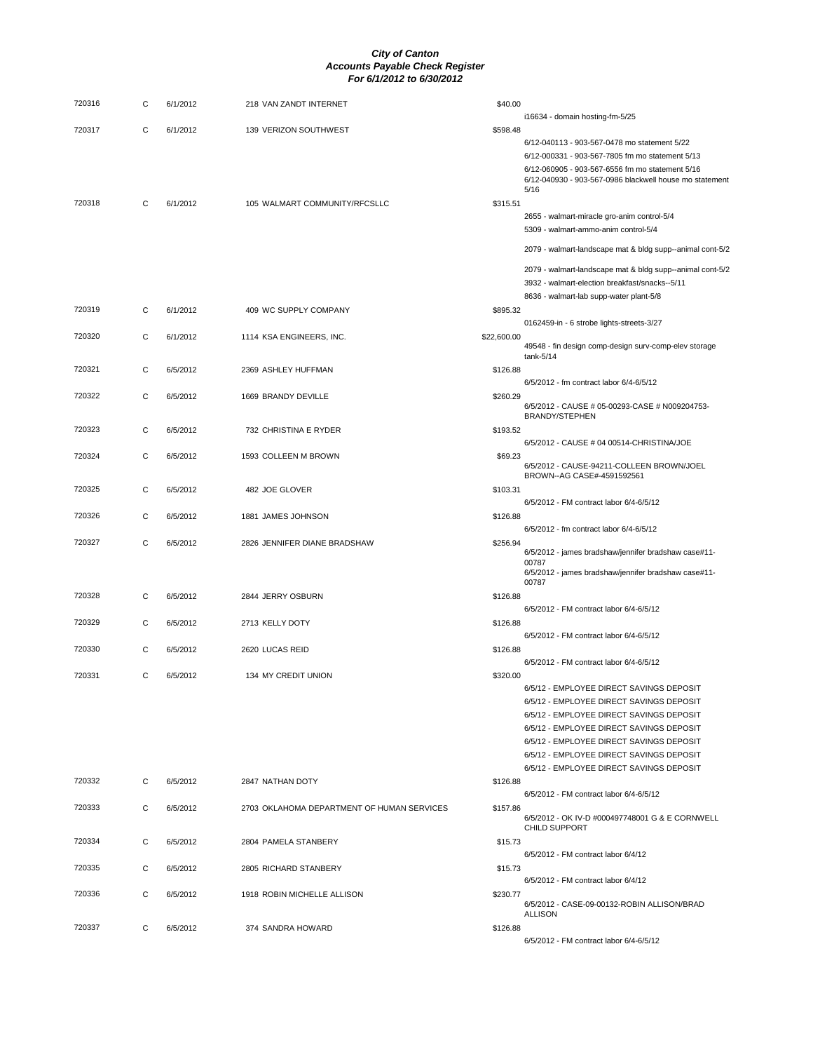| 720316 | С | 6/1/2012 | 218 VAN ZANDT INTERNET                     | \$40.00     |                                                                                                                                                                                                                                                                                                                  |
|--------|---|----------|--------------------------------------------|-------------|------------------------------------------------------------------------------------------------------------------------------------------------------------------------------------------------------------------------------------------------------------------------------------------------------------------|
|        |   |          |                                            |             | i16634 - domain hosting-fm-5/25                                                                                                                                                                                                                                                                                  |
| 720317 | C | 6/1/2012 | 139 VERIZON SOUTHWEST                      | \$598.48    | 6/12-040113 - 903-567-0478 mo statement 5/22<br>6/12-000331 - 903-567-7805 fm mo statement 5/13<br>6/12-060905 - 903-567-6556 fm mo statement 5/16<br>6/12-040930 - 903-567-0986 blackwell house mo statement<br>5/16                                                                                            |
| 720318 | С | 6/1/2012 | 105 WALMART COMMUNITY/RFCSLLC              | \$315.51    |                                                                                                                                                                                                                                                                                                                  |
|        |   |          |                                            |             | 2655 - walmart-miracle gro-anim control-5/4<br>5309 - walmart-ammo-anim control-5/4                                                                                                                                                                                                                              |
|        |   |          |                                            |             | 2079 - walmart-landscape mat & bldg supp--animal cont-5/2                                                                                                                                                                                                                                                        |
|        |   |          |                                            |             | 2079 - walmart-landscape mat & bldg supp--animal cont-5/2<br>3932 - walmart-election breakfast/snacks--5/11                                                                                                                                                                                                      |
| 720319 | C | 6/1/2012 | 409 WC SUPPLY COMPANY                      | \$895.32    | 8636 - walmart-lab supp-water plant-5/8                                                                                                                                                                                                                                                                          |
| 720320 | C | 6/1/2012 | 1114 KSA ENGINEERS, INC.                   | \$22,600.00 | 0162459-in - 6 strobe lights-streets-3/27                                                                                                                                                                                                                                                                        |
|        |   |          |                                            |             | 49548 - fin design comp-design surv-comp-elev storage<br>tank-5/14                                                                                                                                                                                                                                               |
| 720321 | С | 6/5/2012 | 2369 ASHLEY HUFFMAN                        | \$126.88    | 6/5/2012 - fm contract labor 6/4-6/5/12                                                                                                                                                                                                                                                                          |
| 720322 | C | 6/5/2012 | 1669 BRANDY DEVILLE                        | \$260.29    | 6/5/2012 - CAUSE # 05-00293-CASE # N009204753-<br>BRANDY/STEPHEN                                                                                                                                                                                                                                                 |
| 720323 | С | 6/5/2012 | 732 CHRISTINA E RYDER                      | \$193.52    |                                                                                                                                                                                                                                                                                                                  |
| 720324 | С | 6/5/2012 | 1593 COLLEEN M BROWN                       | \$69.23     | 6/5/2012 - CAUSE # 04 00514-CHRISTINA/JOE                                                                                                                                                                                                                                                                        |
|        |   |          |                                            |             | 6/5/2012 - CAUSE-94211-COLLEEN BROWN/JOEL<br>BROWN--AG CASE#-4591592561                                                                                                                                                                                                                                          |
| 720325 | C | 6/5/2012 | 482 JOE GLOVER                             | \$103.31    | 6/5/2012 - FM contract labor 6/4-6/5/12                                                                                                                                                                                                                                                                          |
| 720326 | С | 6/5/2012 | 1881 JAMES JOHNSON                         | \$126.88    | 6/5/2012 - fm contract labor 6/4-6/5/12                                                                                                                                                                                                                                                                          |
| 720327 | С | 6/5/2012 | 2826 JENNIFER DIANE BRADSHAW               | \$256.94    | 6/5/2012 - james bradshaw/jennifer bradshaw case#11-                                                                                                                                                                                                                                                             |
|        |   |          |                                            |             | 00787<br>6/5/2012 - james bradshaw/jennifer bradshaw case#11-<br>00787                                                                                                                                                                                                                                           |
| 720328 | С | 6/5/2012 | 2844 JERRY OSBURN                          | \$126.88    | 6/5/2012 - FM contract labor 6/4-6/5/12                                                                                                                                                                                                                                                                          |
| 720329 | С | 6/5/2012 | 2713 KELLY DOTY                            | \$126.88    |                                                                                                                                                                                                                                                                                                                  |
| 720330 | C | 6/5/2012 | 2620 LUCAS REID                            | \$126.88    | 6/5/2012 - FM contract labor 6/4-6/5/12                                                                                                                                                                                                                                                                          |
| 720331 | С | 6/5/2012 | 134 MY CREDIT UNION                        | \$320.00    | 6/5/2012 - FM contract labor 6/4-6/5/12                                                                                                                                                                                                                                                                          |
|        |   |          |                                            |             | 6/5/12 - EMPLOYEE DIRECT SAVINGS DEPOSIT<br>6/5/12 - EMPLOYEE DIRECT SAVINGS DEPOSIT<br>6/5/12 - EMPLOYEE DIRECT SAVINGS DEPOSIT<br>6/5/12 - EMPLOYEE DIRECT SAVINGS DEPOSIT<br>6/5/12 - EMPLOYEE DIRECT SAVINGS DEPOSIT<br>6/5/12 - EMPLOYEE DIRECT SAVINGS DEPOSIT<br>6/5/12 - EMPLOYEE DIRECT SAVINGS DEPOSIT |
| 720332 | C | 6/5/2012 | 2847 NATHAN DOTY                           | \$126.88    | 6/5/2012 - FM contract labor 6/4-6/5/12                                                                                                                                                                                                                                                                          |
| 720333 | C | 6/5/2012 | 2703 OKLAHOMA DEPARTMENT OF HUMAN SERVICES | \$157.86    | 6/5/2012 - OK IV-D #000497748001 G & E CORNWELL                                                                                                                                                                                                                                                                  |
| 720334 | С | 6/5/2012 | 2804 PAMELA STANBERY                       | \$15.73     | CHILD SUPPORT<br>6/5/2012 - FM contract labor 6/4/12                                                                                                                                                                                                                                                             |
| 720335 | C | 6/5/2012 | 2805 RICHARD STANBERY                      | \$15.73     | 6/5/2012 - FM contract labor 6/4/12                                                                                                                                                                                                                                                                              |
| 720336 | С | 6/5/2012 | 1918 ROBIN MICHELLE ALLISON                | \$230.77    | 6/5/2012 - CASE-09-00132-ROBIN ALLISON/BRAD                                                                                                                                                                                                                                                                      |
| 720337 | C | 6/5/2012 | 374 SANDRA HOWARD                          | \$126.88    | <b>ALLISON</b><br>6/5/2012 - FM contract labor 6/4-6/5/12                                                                                                                                                                                                                                                        |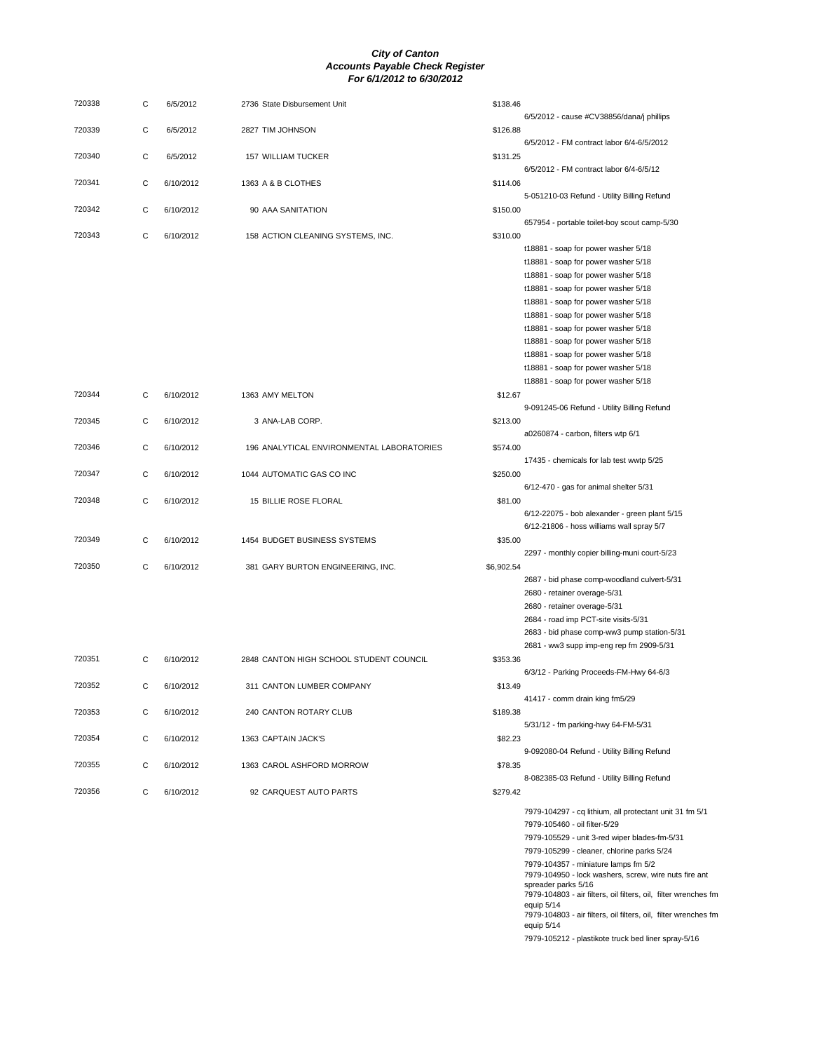| 720338 | С | 6/5/2012  | 2736 State Disbursement Unit              | \$138.46   |                                                                                          |
|--------|---|-----------|-------------------------------------------|------------|------------------------------------------------------------------------------------------|
| 720339 | С | 6/5/2012  | 2827 TIM JOHNSON                          | \$126.88   | 6/5/2012 - cause #CV38856/dana/j phillips<br>6/5/2012 - FM contract labor 6/4-6/5/2012   |
| 720340 | С | 6/5/2012  | 157 WILLIAM TUCKER                        | \$131.25   |                                                                                          |
| 720341 | С | 6/10/2012 | 1363 A & B CLOTHES                        | \$114.06   | 6/5/2012 - FM contract labor 6/4-6/5/12                                                  |
| 720342 | С | 6/10/2012 | 90 AAA SANITATION                         | \$150.00   | 5-051210-03 Refund - Utility Billing Refund                                              |
| 720343 | С | 6/10/2012 | 158 ACTION CLEANING SYSTEMS, INC.         | \$310.00   | 657954 - portable toilet-boy scout camp-5/30                                             |
|        |   |           |                                           |            | t18881 - soap for power washer 5/18                                                      |
|        |   |           |                                           |            | t18881 - soap for power washer 5/18                                                      |
|        |   |           |                                           |            | t18881 - soap for power washer 5/18                                                      |
|        |   |           |                                           |            | t18881 - soap for power washer 5/18                                                      |
|        |   |           |                                           |            |                                                                                          |
|        |   |           |                                           |            | t18881 - soap for power washer 5/18                                                      |
|        |   |           |                                           |            | t18881 - soap for power washer 5/18                                                      |
|        |   |           |                                           |            | t18881 - soap for power washer 5/18                                                      |
|        |   |           |                                           |            | t18881 - soap for power washer 5/18                                                      |
|        |   |           |                                           |            | t18881 - soap for power washer 5/18                                                      |
|        |   |           |                                           |            | t18881 - soap for power washer 5/18                                                      |
|        |   |           |                                           |            | t18881 - soap for power washer 5/18                                                      |
| 720344 | С | 6/10/2012 | 1363 AMY MELTON                           | \$12.67    |                                                                                          |
|        |   |           |                                           |            | 9-091245-06 Refund - Utility Billing Refund                                              |
| 720345 | С | 6/10/2012 | 3 ANA-LAB CORP.                           | \$213.00   |                                                                                          |
|        |   |           |                                           |            | a0260874 - carbon, filters wtp 6/1                                                       |
| 720346 | С | 6/10/2012 | 196 ANALYTICAL ENVIRONMENTAL LABORATORIES | \$574.00   |                                                                                          |
|        |   |           |                                           |            | 17435 - chemicals for lab test wwtp 5/25                                                 |
| 720347 | С | 6/10/2012 | 1044 AUTOMATIC GAS CO INC                 | \$250.00   |                                                                                          |
|        |   |           |                                           |            | 6/12-470 - gas for animal shelter 5/31                                                   |
| 720348 | С | 6/10/2012 | 15 BILLIE ROSE FLORAL                     | \$81.00    |                                                                                          |
|        |   |           |                                           |            | 6/12-22075 - bob alexander - green plant 5/15                                            |
|        |   |           |                                           |            | $6/12-21806$ - hoss williams wall spray $5/7$                                            |
| 720349 | С | 6/10/2012 | 1454 BUDGET BUSINESS SYSTEMS              | \$35.00    |                                                                                          |
|        |   |           |                                           |            | 2297 - monthly copier billing-muni court-5/23                                            |
| 720350 | С | 6/10/2012 | 381 GARY BURTON ENGINEERING, INC.         | \$6,902.54 |                                                                                          |
|        |   |           |                                           |            | 2687 - bid phase comp-woodland culvert-5/31                                              |
|        |   |           |                                           |            | 2680 - retainer overage-5/31                                                             |
|        |   |           |                                           |            | 2680 - retainer overage-5/31                                                             |
|        |   |           |                                           |            | 2684 - road imp PCT-site visits-5/31                                                     |
|        |   |           |                                           |            | 2683 - bid phase comp-ww3 pump station-5/31                                              |
|        |   |           |                                           |            | 2681 - ww3 supp imp-eng rep fm 2909-5/31                                                 |
| 720351 | С | 6/10/2012 | 2848 CANTON HIGH SCHOOL STUDENT COUNCIL   | \$353.36   |                                                                                          |
|        |   |           |                                           |            | 6/3/12 - Parking Proceeds-FM-Hwy 64-6/3                                                  |
| 720352 | С | 6/10/2012 | 311 CANTON LUMBER COMPANY                 | \$13.49    |                                                                                          |
|        |   |           |                                           |            | 41417 - comm drain king fm5/29                                                           |
| 720353 | С | 6/10/2012 | 240 CANTON ROTARY CLUB                    | \$189.38   |                                                                                          |
|        |   |           |                                           |            | 5/31/12 - fm parking-hwy 64-FM-5/31                                                      |
| 720354 | С | 6/10/2012 | 1363 CAPTAIN JACK'S                       | \$82.23    |                                                                                          |
|        |   |           |                                           |            | 9-092080-04 Refund - Utility Billing Refund                                              |
| 720355 | С | 6/10/2012 | 1363 CAROL ASHFORD MORROW                 | \$78.35    |                                                                                          |
| 720356 | С | 6/10/2012 | 92 CARQUEST AUTO PARTS                    | \$279.42   | 8-082385-03 Refund - Utility Billing Refund                                              |
|        |   |           |                                           |            |                                                                                          |
|        |   |           |                                           |            | 7979-104297 - cq lithium, all protectant unit 31 fm 5/1<br>7979-105460 - oil filter-5/29 |
|        |   |           |                                           |            | 7979-105529 - unit 3-red wiper blades-fm-5/31                                            |
|        |   |           |                                           |            | 7979-105299 - cleaner, chlorine parks 5/24                                               |
|        |   |           |                                           |            | 7979-104357 - miniature lamps fm 5/2                                                     |
|        |   |           |                                           |            | 7979-104950 - lock washers, screw, wire nuts fire ant                                    |
|        |   |           |                                           |            | spreader parks 5/16<br>7979-104803 - air filters, oil filters, oil, filter wrenches fm   |
|        |   |           |                                           |            | equip 5/14                                                                               |
|        |   |           |                                           |            | 7979-104803 - air filters, oil filters, oil, filter wrenches fm                          |
|        |   |           |                                           |            | equip 5/14                                                                               |

7979-105212 - plastikote truck bed liner spray-5/16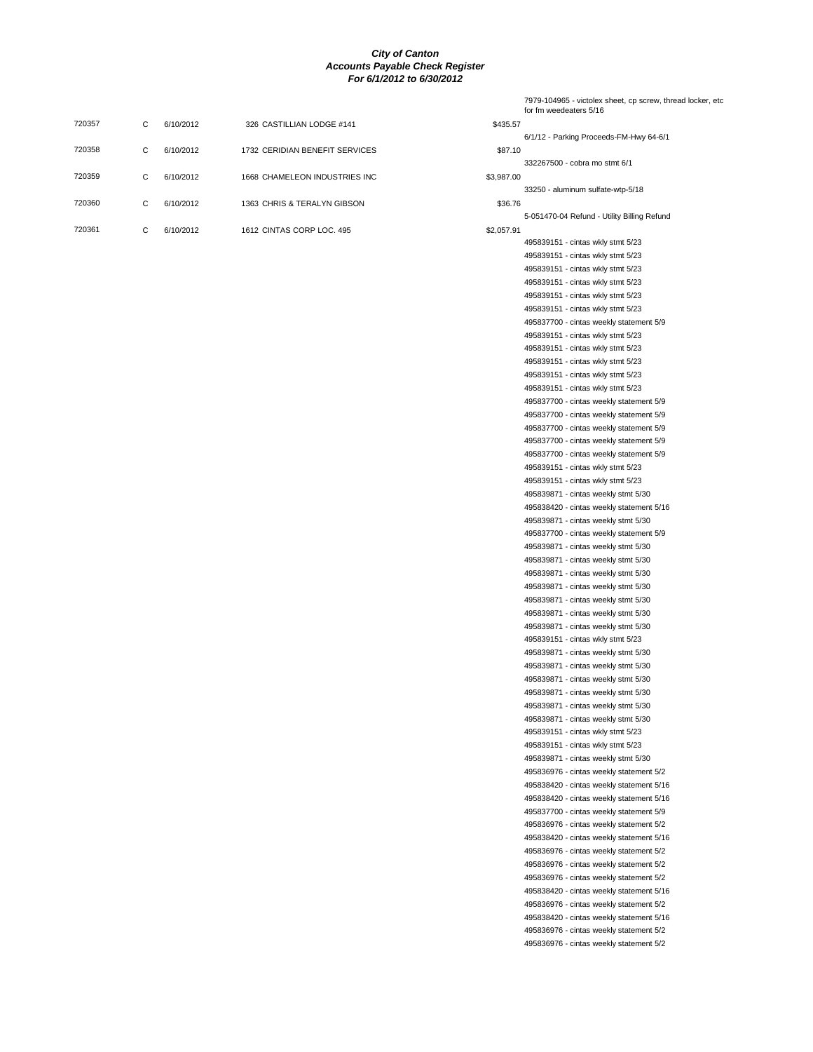|                     | 7979-104965 - victolex sheet, cp screw, thread locker, etc<br>for fm weedeaters 5/16 |
|---------------------|--------------------------------------------------------------------------------------|
| \$435.57            |                                                                                      |
| ICES<br>\$87.10     | 6/1/12 - Parking Proceeds-FM-Hwy 64-6/1                                              |
|                     | 332267500 - cobra mo stmt 6/1                                                        |
| 3 INC<br>\$3,987.00 |                                                                                      |
|                     | 33250 - aluminum sulfate-wtp-5/18                                                    |
| Ν<br>\$36.76        |                                                                                      |
| \$2,057.91          | 5-051470-04 Refund - Utility Billing Refund                                          |
|                     | 495839151 - cintas wkly stmt 5/23                                                    |
|                     | 495839151 - cintas wkly stmt 5/23                                                    |
|                     | 495839151 - cintas wkly stmt 5/23                                                    |
|                     | 495839151 - cintas wkly stmt 5/23                                                    |
|                     | 495839151 - cintas wkly stmt 5/23                                                    |
|                     | 495839151 - cintas wkly stmt 5/23<br>495837700 - cintas weekly statement 5/9         |
|                     | 495839151 - cintas wkly stmt 5/23                                                    |
|                     | 495839151 - cintas wkly stmt 5/23                                                    |
|                     | 495839151 - cintas wkly stmt 5/23                                                    |
|                     | 495839151 - cintas wkly stmt 5/23                                                    |
|                     | 495839151 - cintas wkly stmt 5/23                                                    |
|                     | 495837700 - cintas weekly statement 5/9                                              |
|                     | 495837700 - cintas weekly statement 5/9                                              |
|                     | 495837700 - cintas weekly statement 5/9                                              |
|                     | 495837700 - cintas weekly statement 5/9                                              |
|                     | 495837700 - cintas weekly statement 5/9                                              |
|                     | 495839151 - cintas wkly stmt 5/23                                                    |
|                     | 495839151 - cintas wkly stmt 5/23                                                    |
|                     | 495839871 - cintas weekly stmt 5/30<br>495838420 - cintas weekly statement 5/16      |
|                     | 495839871 - cintas weekly stmt 5/30                                                  |
|                     | 495837700 - cintas weekly statement 5/9                                              |
|                     | 495839871 - cintas weekly stmt 5/30                                                  |
|                     | 495839871 - cintas weekly stmt 5/30                                                  |
|                     | 495839871 - cintas weekly stmt 5/30                                                  |
|                     | 495839871 - cintas weekly stmt 5/30                                                  |
|                     | 495839871 - cintas weekly stmt 5/30                                                  |
|                     | 495839871 - cintas weekly stmt 5/30                                                  |
|                     | 495839871 - cintas weekly stmt 5/30                                                  |
|                     | 495839151 - cintas wkly stmt 5/23                                                    |
|                     | 495839871 - cintas weekly stmt 5/30<br>495839871 - cintas weekly stmt 5/30           |
|                     | 495839871 - cintas weekly stmt 5/30                                                  |
|                     | 495839871 - cintas weekly stmt 5/30                                                  |
|                     | 495839871 - cintas weekly stmt 5/30                                                  |
|                     | 495839871 - cintas weekly stmt 5/30                                                  |
|                     | 495839151 - cintas wkly stmt 5/23                                                    |
|                     | 495839151 - cintas wkly stmt 5/23                                                    |
|                     | 495839871 - cintas weekly stmt 5/30                                                  |
|                     | 495836976 - cintas weekly statement 5/2                                              |
|                     | 495838420 - cintas weekly statement 5/16                                             |
|                     | 495838420 - cintas weekly statement 5/16                                             |
|                     | 495837700 - cintas weekly statement 5/9<br>495836976 - cintas weekly statement 5/2   |
|                     | 495838420 - cintas weekly statement 5/16                                             |
|                     | 495836976 - cintas weekly statement 5/2                                              |
|                     | 495836976 - cintas weekly statement 5/2                                              |
|                     | 495836976 - cintas weekly statement 5/2                                              |
|                     | 495838420 - cintas weekly statement 5/16                                             |
|                     | 495836976 - cintas weekly statement 5/2                                              |
|                     | 495838420 - cintas weekly statement 5/16                                             |
|                     | 495836976 - cintas weekly statement 5/2                                              |
|                     | 495836976 - cintas weekly statement 5/2                                              |

| 720357 | C | 6/10/2012 | 326 CASTILLIAN LODGE #141      | \$435.57   |
|--------|---|-----------|--------------------------------|------------|
| 720358 | C | 6/10/2012 | 1732 CERIDIAN BENEFIT SERVICES | \$87.10    |
| 720359 | C | 6/10/2012 | 1668 CHAMELEON INDUSTRIES INC  | \$3,987.00 |
| 720360 | C | 6/10/2012 | 1363 CHRIS & TERALYN GIBSON    | \$36.76    |
| 720361 | C | 6/10/2012 | 1612 CINTAS CORP LOC, 495      | \$2,057.91 |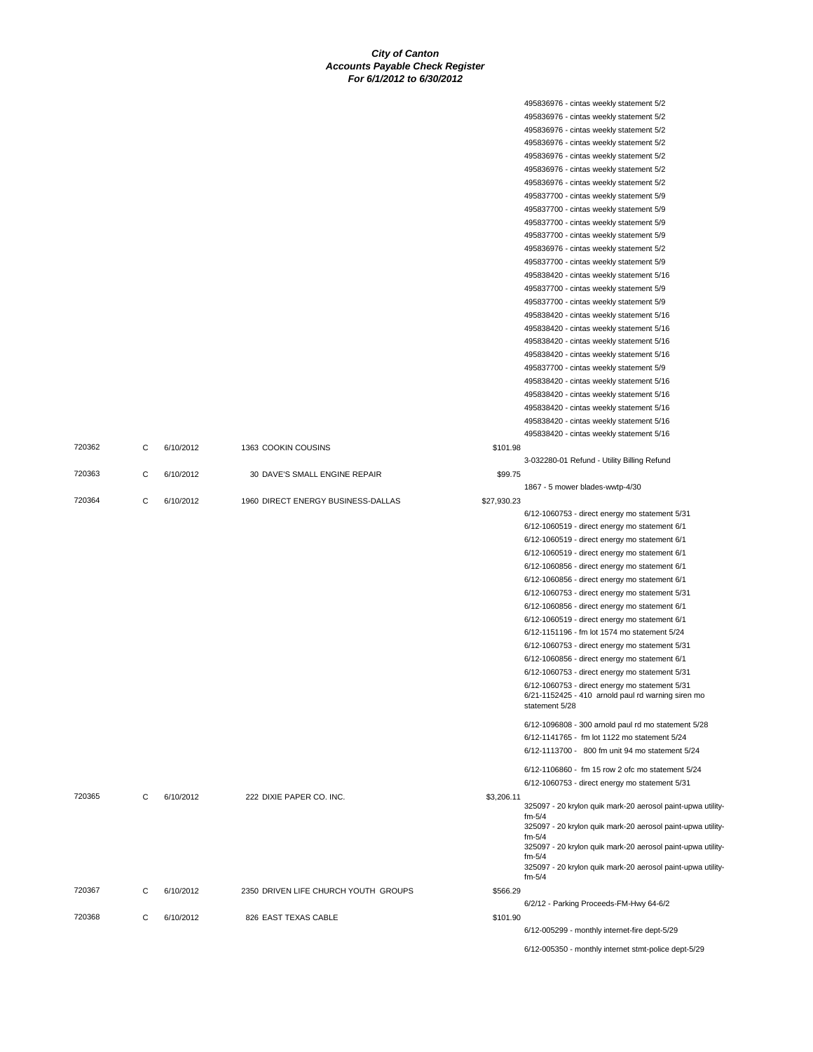|        |   |           |                                      |             | 495836976 - cintas weekly statement 5/2                                                              |
|--------|---|-----------|--------------------------------------|-------------|------------------------------------------------------------------------------------------------------|
|        |   |           |                                      |             | 495836976 - cintas weekly statement 5/2                                                              |
|        |   |           |                                      |             | 495836976 - cintas weekly statement 5/2                                                              |
|        |   |           |                                      |             | 495836976 - cintas weekly statement 5/2                                                              |
|        |   |           |                                      |             | 495836976 - cintas weekly statement 5/2                                                              |
|        |   |           |                                      |             | 495836976 - cintas weekly statement 5/2                                                              |
|        |   |           |                                      |             | 495836976 - cintas weekly statement 5/2                                                              |
|        |   |           |                                      |             | 495837700 - cintas weekly statement 5/9                                                              |
|        |   |           |                                      |             | 495837700 - cintas weekly statement 5/9                                                              |
|        |   |           |                                      |             | 495837700 - cintas weekly statement 5/9                                                              |
|        |   |           |                                      |             | 495837700 - cintas weekly statement 5/9                                                              |
|        |   |           |                                      |             | 495836976 - cintas weekly statement 5/2                                                              |
|        |   |           |                                      |             | 495837700 - cintas weekly statement 5/9                                                              |
|        |   |           |                                      |             | 495838420 - cintas weekly statement 5/16                                                             |
|        |   |           |                                      |             | 495837700 - cintas weekly statement 5/9                                                              |
|        |   |           |                                      |             | 495837700 - cintas weekly statement 5/9                                                              |
|        |   |           |                                      |             | 495838420 - cintas weekly statement 5/16                                                             |
|        |   |           |                                      |             |                                                                                                      |
|        |   |           |                                      |             | 495838420 - cintas weekly statement 5/16                                                             |
|        |   |           |                                      |             | 495838420 - cintas weekly statement 5/16                                                             |
|        |   |           |                                      |             | 495838420 - cintas weekly statement 5/16                                                             |
|        |   |           |                                      |             | 495837700 - cintas weekly statement 5/9                                                              |
|        |   |           |                                      |             | 495838420 - cintas weekly statement 5/16                                                             |
|        |   |           |                                      |             | 495838420 - cintas weekly statement 5/16                                                             |
|        |   |           |                                      |             | 495838420 - cintas weekly statement 5/16                                                             |
|        |   |           |                                      |             | 495838420 - cintas weekly statement 5/16                                                             |
|        |   |           |                                      |             | 495838420 - cintas weekly statement 5/16                                                             |
| 720362 | С | 6/10/2012 | 1363 COOKIN COUSINS                  | \$101.98    |                                                                                                      |
|        |   |           |                                      |             | 3-032280-01 Refund - Utility Billing Refund                                                          |
| 720363 | C | 6/10/2012 | 30 DAVE'S SMALL ENGINE REPAIR        | \$99.75     |                                                                                                      |
|        |   |           |                                      |             | 1867 - 5 mower blades-wwtp-4/30                                                                      |
| 720364 | C | 6/10/2012 | 1960 DIRECT ENERGY BUSINESS-DALLAS   | \$27,930.23 |                                                                                                      |
|        |   |           |                                      |             | 6/12-1060753 - direct energy mo statement 5/31                                                       |
|        |   |           |                                      |             | 6/12-1060519 - direct energy mo statement 6/1                                                        |
|        |   |           |                                      |             | 6/12-1060519 - direct energy mo statement 6/1                                                        |
|        |   |           |                                      |             | 6/12-1060519 - direct energy mo statement 6/1                                                        |
|        |   |           |                                      |             | 6/12-1060856 - direct energy mo statement 6/1                                                        |
|        |   |           |                                      |             | 6/12-1060856 - direct energy mo statement 6/1                                                        |
|        |   |           |                                      |             | 6/12-1060753 - direct energy mo statement 5/31                                                       |
|        |   |           |                                      |             | 6/12-1060856 - direct energy mo statement 6/1                                                        |
|        |   |           |                                      |             | 6/12-1060519 - direct energy mo statement 6/1                                                        |
|        |   |           |                                      |             | 6/12-1151196 - fm lot 1574 mo statement 5/24                                                         |
|        |   |           |                                      |             |                                                                                                      |
|        |   |           |                                      |             | 6/12-1060753 - direct energy mo statement 5/31                                                       |
|        |   |           |                                      |             | 6/12-1060856 - direct energy mo statement 6/1                                                        |
|        |   |           |                                      |             | 6/12-1060753 - direct energy mo statement 5/31                                                       |
|        |   |           |                                      |             | 6/12-1060753 - direct energy mo statement 5/31<br>6/21-1152425 - 410 arnold paul rd warning siren mo |
|        |   |           |                                      |             | statement 5/28                                                                                       |
|        |   |           |                                      |             |                                                                                                      |
|        |   |           |                                      |             | 6/12-1096808 - 300 arnold paul rd mo statement 5/28                                                  |
|        |   |           |                                      |             | 6/12-1141765 - fm lot 1122 mo statement 5/24                                                         |
|        |   |           |                                      |             | 6/12-1113700 - 800 fm unit 94 mo statement 5/24                                                      |
|        |   |           |                                      |             | 6/12-1106860 - fm 15 row 2 ofc mo statement 5/24                                                     |
|        |   |           |                                      |             | 6/12-1060753 - direct energy mo statement 5/31                                                       |
| 720365 | С | 6/10/2012 | 222 DIXIE PAPER CO. INC.             | \$3,206.11  |                                                                                                      |
|        |   |           |                                      |             | 325097 - 20 krylon quik mark-20 aerosol paint-upwa utility-                                          |
|        |   |           |                                      |             | $fm-5/4$                                                                                             |
|        |   |           |                                      |             | 325097 - 20 krylon quik mark-20 aerosol paint-upwa utility-<br>$fm-5/4$                              |
|        |   |           |                                      |             | 325097 - 20 krylon quik mark-20 aerosol paint-upwa utility-                                          |
|        |   |           |                                      |             | $fm-5/4$                                                                                             |
|        |   |           |                                      |             | 325097 - 20 krylon quik mark-20 aerosol paint-upwa utility-                                          |
|        |   |           |                                      |             | $fm-5/4$                                                                                             |
| 720367 | С | 6/10/2012 | 2350 DRIVEN LIFE CHURCH YOUTH GROUPS | \$566.29    |                                                                                                      |
|        |   |           |                                      |             | 6/2/12 - Parking Proceeds-FM-Hwy 64-6/2                                                              |
| 720368 | С | 6/10/2012 | 826 EAST TEXAS CABLE                 | \$101.90    |                                                                                                      |
|        |   |           |                                      |             | 6/12-005299 - monthly internet-fire dept-5/29                                                        |
|        |   |           |                                      |             | 6/12-005350 - monthly internet stmt-police dept-5/29                                                 |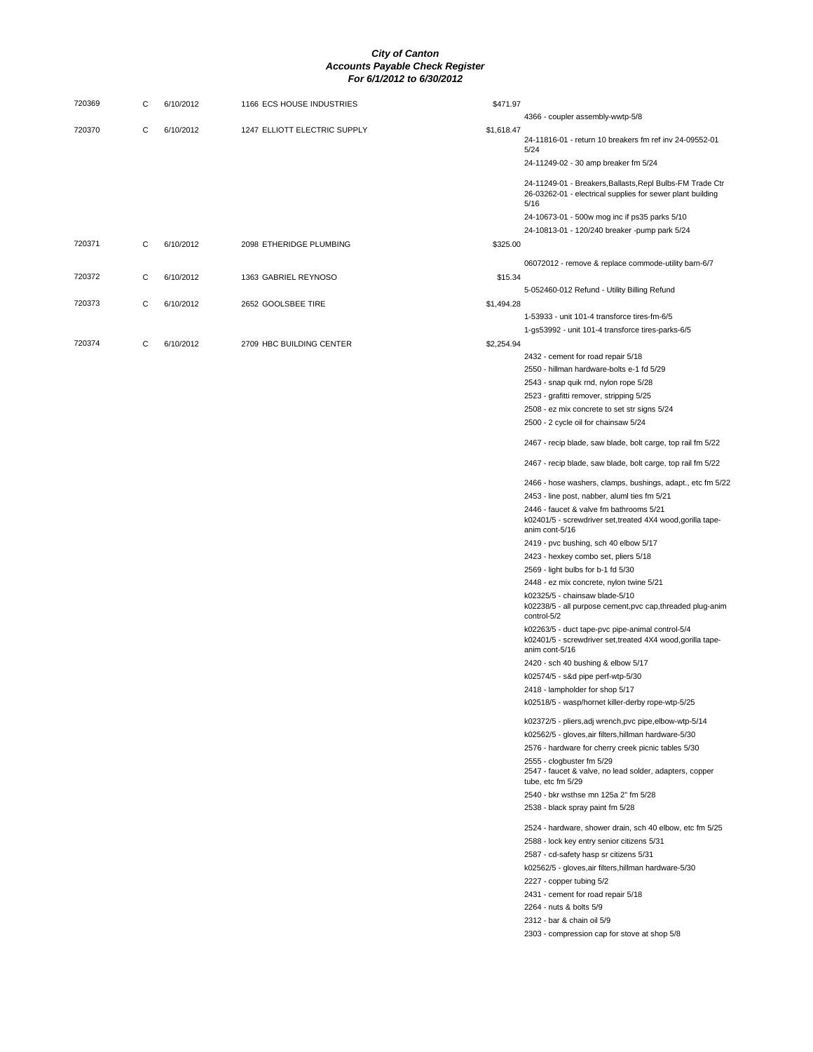| 720369 | С | 6/10/2012 | 1166 ECS HOUSE INDUSTRIES    | \$471.97   |                                                                                                                                   |
|--------|---|-----------|------------------------------|------------|-----------------------------------------------------------------------------------------------------------------------------------|
|        |   |           |                              |            | 4366 - coupler assembly-wwtp-5/8                                                                                                  |
| 720370 | С | 6/10/2012 | 1247 ELLIOTT ELECTRIC SUPPLY | \$1,618.47 | 24-11816-01 - return 10 breakers fm ref inv 24-09552-01<br>5/24                                                                   |
|        |   |           |                              |            | 24-11249-02 - 30 amp breaker fm 5/24                                                                                              |
|        |   |           |                              |            | 24-11249-01 - Breakers, Ballasts, Repl Bulbs-FM Trade Ctr<br>26-03262-01 - electrical supplies for sewer plant building<br>5/16   |
|        |   |           |                              |            | 24-10673-01 - 500w mog inc if ps35 parks 5/10                                                                                     |
|        |   |           |                              |            | 24-10813-01 - 120/240 breaker -pump park 5/24                                                                                     |
| 720371 | С | 6/10/2012 | 2098 ETHERIDGE PLUMBING      | \$325.00   |                                                                                                                                   |
|        |   |           |                              |            | 06072012 - remove & replace commode-utility barn-6/7                                                                              |
| 720372 | С | 6/10/2012 | 1363 GABRIEL REYNOSO         | \$15.34    |                                                                                                                                   |
|        |   |           |                              |            | 5-052460-012 Refund - Utility Billing Refund                                                                                      |
| 720373 | С | 6/10/2012 | 2652 GOOLSBEE TIRE           | \$1,494.28 |                                                                                                                                   |
|        |   |           |                              |            | 1-53933 - unit 101-4 transforce tires-fm-6/5                                                                                      |
|        |   |           |                              |            | 1-gs53992 - unit 101-4 transforce tires-parks-6/5                                                                                 |
| 720374 | С | 6/10/2012 | 2709 HBC BUILDING CENTER     | \$2,254.94 |                                                                                                                                   |
|        |   |           |                              |            | 2432 - cement for road repair 5/18                                                                                                |
|        |   |           |                              |            | 2550 - hillman hardware-bolts e-1 fd 5/29                                                                                         |
|        |   |           |                              |            | 2543 - snap quik rnd, nylon rope 5/28                                                                                             |
|        |   |           |                              |            | 2523 - grafitti remover, stripping 5/25                                                                                           |
|        |   |           |                              |            | 2508 - ez mix concrete to set str signs 5/24<br>2500 - 2 cycle oil for chainsaw 5/24                                              |
|        |   |           |                              |            | 2467 - recip blade, saw blade, bolt carge, top rail fm 5/22                                                                       |
|        |   |           |                              |            | 2467 - recip blade, saw blade, bolt carge, top rail fm 5/22                                                                       |
|        |   |           |                              |            | 2466 - hose washers, clamps, bushings, adapt., etc fm 5/22                                                                        |
|        |   |           |                              |            | 2453 - line post, nabber, aluml ties fm 5/21                                                                                      |
|        |   |           |                              |            | 2446 - faucet & valve fm bathrooms 5/21<br>k02401/5 - screwdriver set, treated 4X4 wood, gorilla tape-<br>anim cont-5/16          |
|        |   |           |                              |            | 2419 - pvc bushing, sch 40 elbow 5/17                                                                                             |
|        |   |           |                              |            | 2423 - hexkey combo set, pliers 5/18                                                                                              |
|        |   |           |                              |            | 2569 - light bulbs for b-1 fd 5/30                                                                                                |
|        |   |           |                              |            | 2448 - ez mix concrete, nylon twine 5/21                                                                                          |
|        |   |           |                              |            | k02325/5 - chainsaw blade-5/10<br>k02238/5 - all purpose cement, pvc cap, threaded plug-anim<br>control-5/2                       |
|        |   |           |                              |            | k02263/5 - duct tape-pvc pipe-animal control-5/4<br>k02401/5 - screwdriver set, treated 4X4 wood, gorilla tape-<br>anim cont-5/16 |
|        |   |           |                              |            | 2420 - sch 40 bushing & elbow 5/17                                                                                                |
|        |   |           |                              |            | k02574/5 - s&d pipe perf-wtp-5/30                                                                                                 |
|        |   |           |                              |            | 2418 - lampholder for shop 5/17                                                                                                   |
|        |   |           |                              |            | k02518/5 - wasp/hornet killer-derby rope-wtp-5/25                                                                                 |
|        |   |           |                              |            | k02372/5 - pliers, adj wrench, pvc pipe, elbow-wtp-5/14                                                                           |
|        |   |           |                              |            | k02562/5 - gloves, air filters, hillman hardware-5/30                                                                             |
|        |   |           |                              |            | 2576 - hardware for cherry creek picnic tables 5/30                                                                               |
|        |   |           |                              |            | 2555 - clogbuster fm 5/29<br>2547 - faucet & valve, no lead solder, adapters, copper<br>tube, etc fm 5/29                         |
|        |   |           |                              |            | 2540 - bkr wsthse mn 125a 2" fm 5/28                                                                                              |
|        |   |           |                              |            | 2538 - black spray paint fm 5/28                                                                                                  |
|        |   |           |                              |            |                                                                                                                                   |
|        |   |           |                              |            | 2524 - hardware, shower drain, sch 40 elbow, etc fm 5/25                                                                          |
|        |   |           |                              |            | 2588 - lock key entry senior citizens 5/31                                                                                        |
|        |   |           |                              |            | 2587 - cd-safety hasp sr citizens 5/31                                                                                            |
|        |   |           |                              |            | k02562/5 - gloves, air filters, hillman hardware-5/30<br>2227 - copper tubing 5/2                                                 |
|        |   |           |                              |            | 2431 - cement for road repair 5/18                                                                                                |
|        |   |           |                              |            | 2264 - nuts & bolts 5/9                                                                                                           |
|        |   |           |                              |            | 2312 - bar & chain oil 5/9                                                                                                        |
|        |   |           |                              |            | 2303 - compression cap for stove at shop 5/8                                                                                      |
|        |   |           |                              |            |                                                                                                                                   |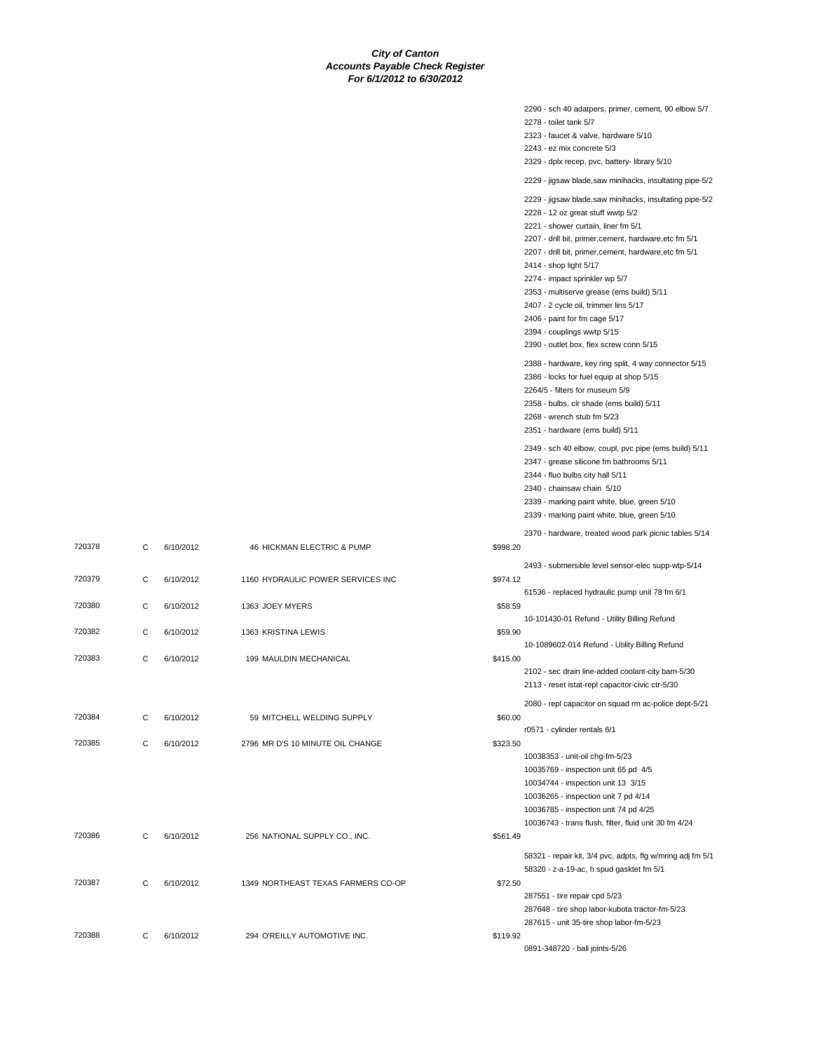|                                    |          | 2290 - sch 40 adatpers, primer, cement, 90 elbow 5/7<br>2278 - toilet tank 5/7<br>2323 - faucet & valve, hardware 5/10<br>2243 - ez mix concrete 5/3<br>2329 - dplx recep, pvc, battery- library 5/10<br>2229 - jigsaw blade,saw minihacks, insultating pipe-5/2<br>2229 - jigsaw blade, saw minihacks, insultating pipe-5/2<br>2228 - 12 oz great stuff wwtp 5/2<br>2221 - shower curtain, liner fm 5/1<br>2207 - drill bit, primer, cement, hardware, etc fm 5/1<br>2207 - drill bit, primer, cement, hardware, etc fm 5/1<br>2414 - shop light 5/17<br>2274 - impact sprinkler wp 5/7<br>2353 - multiserve grease (ems build) 5/11<br>2407 - 2 cycle oil, trimmer lins 5/17<br>2406 - paint for fm cage 5/17 |
|------------------------------------|----------|-----------------------------------------------------------------------------------------------------------------------------------------------------------------------------------------------------------------------------------------------------------------------------------------------------------------------------------------------------------------------------------------------------------------------------------------------------------------------------------------------------------------------------------------------------------------------------------------------------------------------------------------------------------------------------------------------------------------|
|                                    |          | 2394 - couplings wwtp 5/15<br>2390 - outlet box, flex screw conn 5/15<br>2388 - hardware, key ring split, 4 way connector 5/15                                                                                                                                                                                                                                                                                                                                                                                                                                                                                                                                                                                  |
|                                    |          | 2386 - locks for fuel equip at shop 5/15<br>2264/5 - filters for museum 5/9<br>2358 - bulbs, clr shade (ems build) 5/11<br>2268 - wrench stub fm 5/23<br>2351 - hardware (ems build) 5/11                                                                                                                                                                                                                                                                                                                                                                                                                                                                                                                       |
|                                    |          | 2349 - sch 40 elbow, coupl, pvc pipe (ems build) 5/11<br>2347 - grease silicone fm bathrooms 5/11<br>2344 - fluo bulbs city hall 5/11<br>2340 - chainsaw chain 5/10<br>2339 - marking paint white, blue, green 5/10<br>2339 - marking paint white, blue, green 5/10                                                                                                                                                                                                                                                                                                                                                                                                                                             |
| 46 HICKMAN ELECTRIC & PUMP         | \$998.20 | 2370 - hardware, treated wood park picnic tables 5/14                                                                                                                                                                                                                                                                                                                                                                                                                                                                                                                                                                                                                                                           |
|                                    |          |                                                                                                                                                                                                                                                                                                                                                                                                                                                                                                                                                                                                                                                                                                                 |
| 1160 HYDRAULIC POWER SERVICES INC  | \$974.12 | 2493 - submersible level sensor-elec supp-wtp-5/14                                                                                                                                                                                                                                                                                                                                                                                                                                                                                                                                                                                                                                                              |
| 1363 JOEY MYERS                    | \$58.59  | 61536 - replaced hydraulic pump unit 78 fm 6/1                                                                                                                                                                                                                                                                                                                                                                                                                                                                                                                                                                                                                                                                  |
| 1363 KRISTINA LEWIS                | \$59.90  | 10-101430-01 Refund - Utility Billing Refund                                                                                                                                                                                                                                                                                                                                                                                                                                                                                                                                                                                                                                                                    |
| 199 MAULDIN MECHANICAL             | \$415.00 | 10-1089602-014 Refund - Utility Billing Refund<br>2102 - sec drain line-added coolant-city barn-5/30<br>2113 - reset istat-repl capacitor-civic ctr-5/30                                                                                                                                                                                                                                                                                                                                                                                                                                                                                                                                                        |
|                                    |          | 2080 - repl capacitor on squad rm ac-police dept-5/21                                                                                                                                                                                                                                                                                                                                                                                                                                                                                                                                                                                                                                                           |
| 59 MITCHELL WELDING SUPPLY         | \$60.00  | r0571 - cylinder rentals 6/1                                                                                                                                                                                                                                                                                                                                                                                                                                                                                                                                                                                                                                                                                    |
| 2796 MR D'S 10 MINUTE OIL CHANGE   | \$323.50 | 10038353 - unit-oil chg-fm-5/23<br>10035769 - inspection unit 65 pd 4/5<br>10034744 - inspection unit 13 3/15<br>10036265 - inspection unit 7 pd 4/14<br>10036785 - inspection unit 74 pd 4/25<br>10036743 - trans flush, filter, fluid unit 30 fm 4/24                                                                                                                                                                                                                                                                                                                                                                                                                                                         |
| 256 NATIONAL SUPPLY CO., INC.      | \$561.49 |                                                                                                                                                                                                                                                                                                                                                                                                                                                                                                                                                                                                                                                                                                                 |
| 1349 NORTHEAST TEXAS FARMERS CO-OP | \$72.50  | 58321 - repair kit, 3/4 pvc, adpts, flg w/mring adj fm 5/1<br>58320 - z-a-19-ac, h spud gasktet fm 5/1<br>287551 - tire repair cpd 5/23<br>287648 - tire shop labor-kubota tractor-fm-5/23                                                                                                                                                                                                                                                                                                                                                                                                                                                                                                                      |

720378 C 6/10/2012

720379 C 6/10/2012

720380 C 6/10/2012

720382 C 6/10/2012

720383 C 6/10/2012

720384 C 6/10/2012

720385 C 6/10/2012

720386 C 6/10/2012

720387 C 6/10/2012

720388 C 6/10/2012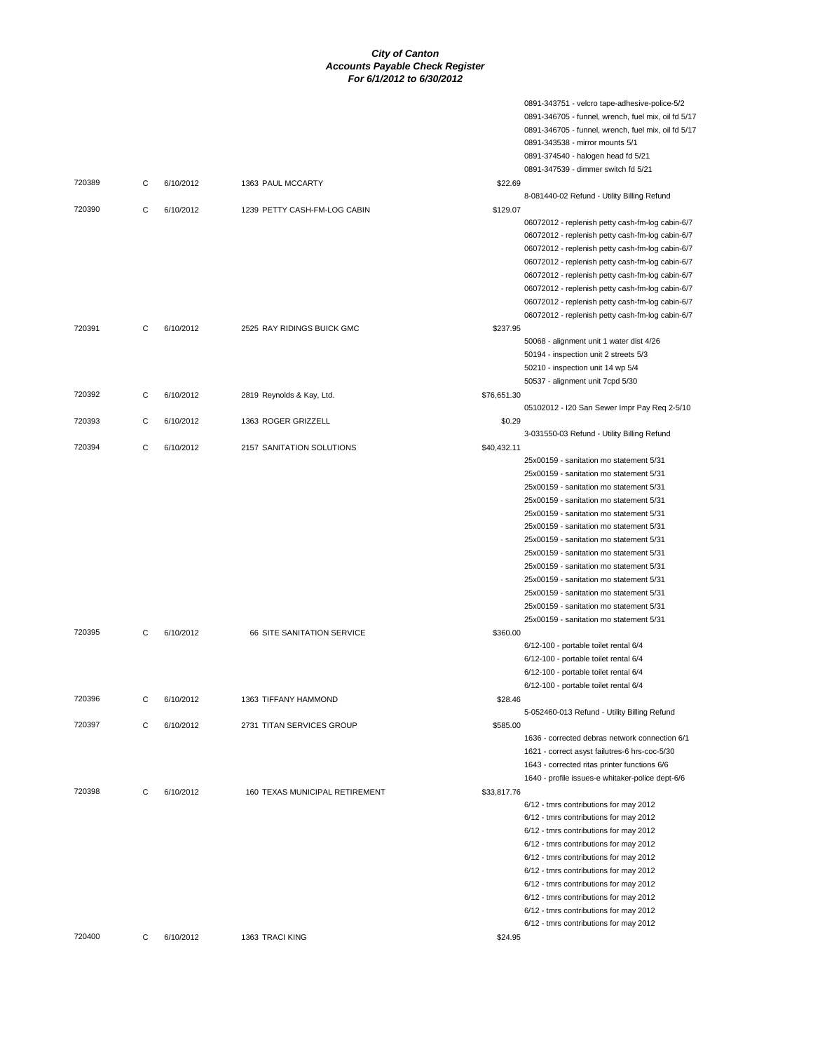|        |   |           |                                |             | 0891-343751 - velcro tape-adhesive-police-5/2       |
|--------|---|-----------|--------------------------------|-------------|-----------------------------------------------------|
|        |   |           |                                |             | 0891-346705 - funnel, wrench, fuel mix, oil fd 5/17 |
|        |   |           |                                |             | 0891-346705 - funnel, wrench, fuel mix, oil fd 5/17 |
|        |   |           |                                |             | 0891-343538 - mirror mounts 5/1                     |
|        |   |           |                                |             | 0891-374540 - halogen head fd 5/21                  |
|        |   |           |                                |             | 0891-347539 - dimmer switch fd 5/21                 |
| 720389 | C | 6/10/2012 | 1363 PAUL MCCARTY              | \$22.69     |                                                     |
|        |   |           |                                |             | 8-081440-02 Refund - Utility Billing Refund         |
| 720390 | C | 6/10/2012 | 1239 PETTY CASH-FM-LOG CABIN   | \$129.07    |                                                     |
|        |   |           |                                |             | 06072012 - replenish petty cash-fm-log cabin-6/7    |
|        |   |           |                                |             | 06072012 - replenish petty cash-fm-log cabin-6/7    |
|        |   |           |                                |             | 06072012 - replenish petty cash-fm-log cabin-6/7    |
|        |   |           |                                |             | 06072012 - replenish petty cash-fm-log cabin-6/7    |
|        |   |           |                                |             | 06072012 - replenish petty cash-fm-log cabin-6/7    |
|        |   |           |                                |             | 06072012 - replenish petty cash-fm-log cabin-6/7    |
|        |   |           |                                |             | 06072012 - replenish petty cash-fm-log cabin-6/7    |
|        |   |           |                                |             | 06072012 - replenish petty cash-fm-log cabin-6/7    |
| 720391 | C | 6/10/2012 | 2525 RAY RIDINGS BUICK GMC     | \$237.95    |                                                     |
|        |   |           |                                |             | 50068 - alignment unit 1 water dist 4/26            |
|        |   |           |                                |             | 50194 - inspection unit 2 streets 5/3               |
|        |   |           |                                |             | 50210 - inspection unit 14 wp 5/4                   |
| 720392 |   |           |                                | \$76,651.30 | 50537 - alignment unit 7cpd 5/30                    |
|        | С | 6/10/2012 | 2819 Reynolds & Kay, Ltd.      |             | 05102012 - I20 San Sewer Impr Pay Req 2-5/10        |
| 720393 | С |           | 1363 ROGER GRIZZELL            | \$0.29      |                                                     |
|        |   | 6/10/2012 |                                |             | 3-031550-03 Refund - Utility Billing Refund         |
| 720394 | C | 6/10/2012 | 2157 SANITATION SOLUTIONS      | \$40,432.11 |                                                     |
|        |   |           |                                |             | 25x00159 - sanitation mo statement 5/31             |
|        |   |           |                                |             | 25x00159 - sanitation mo statement 5/31             |
|        |   |           |                                |             | 25x00159 - sanitation mo statement 5/31             |
|        |   |           |                                |             | 25x00159 - sanitation mo statement 5/31             |
|        |   |           |                                |             | 25x00159 - sanitation mo statement 5/31             |
|        |   |           |                                |             | 25x00159 - sanitation mo statement 5/31             |
|        |   |           |                                |             | 25x00159 - sanitation mo statement 5/31             |
|        |   |           |                                |             | 25x00159 - sanitation mo statement 5/31             |
|        |   |           |                                |             | 25x00159 - sanitation mo statement 5/31             |
|        |   |           |                                |             | 25x00159 - sanitation mo statement 5/31             |
|        |   |           |                                |             | 25x00159 - sanitation mo statement 5/31             |
|        |   |           |                                |             | 25x00159 - sanitation mo statement 5/31             |
|        |   |           |                                |             | 25x00159 - sanitation mo statement 5/31             |
| 720395 | C | 6/10/2012 | 66 SITE SANITATION SERVICE     | \$360.00    |                                                     |
|        |   |           |                                |             | 6/12-100 - portable toilet rental 6/4               |
|        |   |           |                                |             | 6/12-100 - portable toilet rental 6/4               |
|        |   |           |                                |             | 6/12-100 - portable toilet rental 6/4               |
|        |   |           |                                |             | 6/12-100 - portable toilet rental 6/4               |
| 720396 | С | 6/10/2012 | 1363 TIFFANY HAMMOND           | \$28.46     |                                                     |
|        |   |           |                                |             | 5-052460-013 Refund - Utility Billing Refund        |
| 720397 | С | 6/10/2012 | 2731 TITAN SERVICES GROUP      | \$585.00    |                                                     |
|        |   |           |                                |             | 1636 - corrected debras network connection 6/1      |
|        |   |           |                                |             | 1621 - correct asyst failutres-6 hrs-coc-5/30       |
|        |   |           |                                |             | 1643 - corrected ritas printer functions 6/6        |
|        |   |           |                                |             | 1640 - profile issues-e whitaker-police dept-6/6    |
| 720398 | С | 6/10/2012 | 160 TEXAS MUNICIPAL RETIREMENT | \$33,817.76 |                                                     |
|        |   |           |                                |             | 6/12 - tmrs contributions for may 2012              |
|        |   |           |                                |             | 6/12 - tmrs contributions for may 2012              |
|        |   |           |                                |             | 6/12 - tmrs contributions for may 2012              |
|        |   |           |                                |             | 6/12 - tmrs contributions for may 2012              |
|        |   |           |                                |             | 6/12 - tmrs contributions for may 2012              |
|        |   |           |                                |             | 6/12 - tmrs contributions for may 2012              |
|        |   |           |                                |             | 6/12 - tmrs contributions for may 2012              |
|        |   |           |                                |             | 6/12 - tmrs contributions for may 2012              |
|        |   |           |                                |             | 6/12 - tmrs contributions for may 2012              |
|        |   |           |                                |             | 6/12 - tmrs contributions for may 2012              |
| 720400 | С | 6/10/2012 | 1363 TRACI KING                | \$24.95     |                                                     |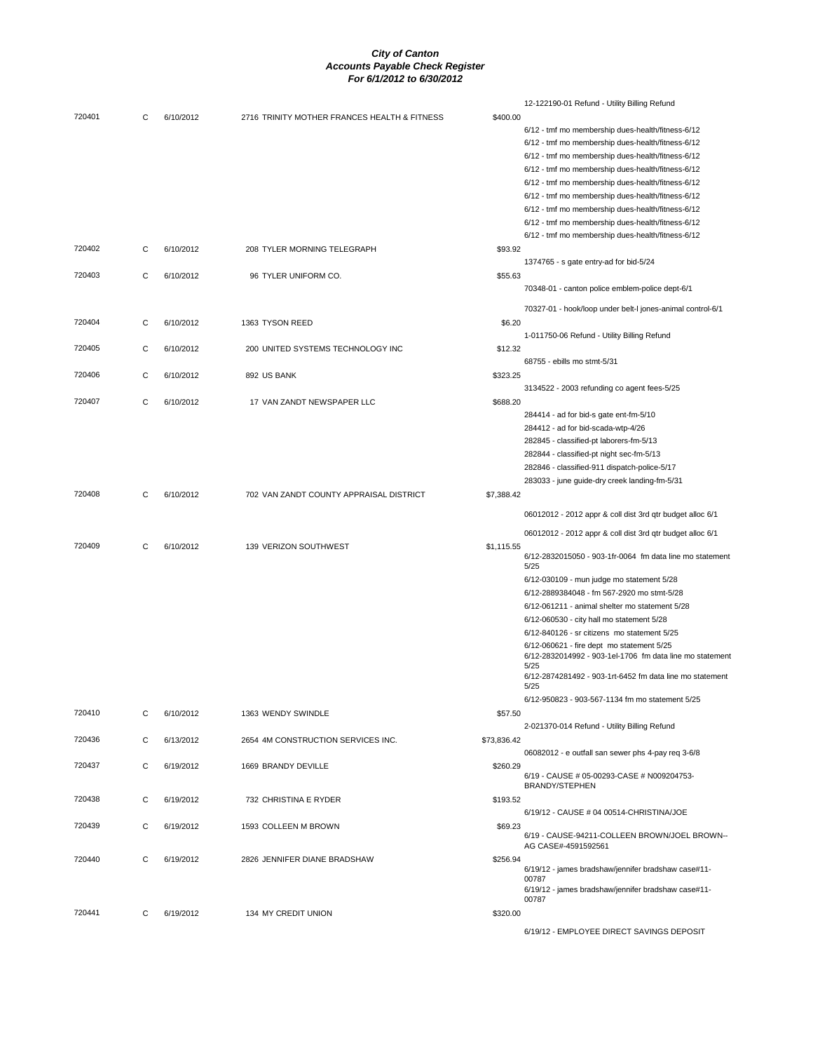|        |   |           |                                              |             | 12-122190-01 Refund - Utility Billing Refund                         |
|--------|---|-----------|----------------------------------------------|-------------|----------------------------------------------------------------------|
| 720401 | С | 6/10/2012 | 2716 TRINITY MOTHER FRANCES HEALTH & FITNESS | \$400.00    |                                                                      |
|        |   |           |                                              |             | 6/12 - tmf mo membership dues-health/fitness-6/12                    |
|        |   |           |                                              |             |                                                                      |
|        |   |           |                                              |             | 6/12 - tmf mo membership dues-health/fitness-6/12                    |
|        |   |           |                                              |             | 6/12 - tmf mo membership dues-health/fitness-6/12                    |
|        |   |           |                                              |             | 6/12 - tmf mo membership dues-health/fitness-6/12                    |
|        |   |           |                                              |             | 6/12 - tmf mo membership dues-health/fitness-6/12                    |
|        |   |           |                                              |             | 6/12 - tmf mo membership dues-health/fitness-6/12                    |
|        |   |           |                                              |             | 6/12 - tmf mo membership dues-health/fitness-6/12                    |
|        |   |           |                                              |             | 6/12 - tmf mo membership dues-health/fitness-6/12                    |
|        |   |           |                                              |             |                                                                      |
|        |   |           |                                              |             | 6/12 - tmf mo membership dues-health/fitness-6/12                    |
| 720402 | C | 6/10/2012 | 208 TYLER MORNING TELEGRAPH                  | \$93.92     |                                                                      |
|        |   |           |                                              |             | 1374765 - s gate entry-ad for bid-5/24                               |
| 720403 | C | 6/10/2012 | 96 TYLER UNIFORM CO.                         | \$55.63     |                                                                      |
|        |   |           |                                              |             | 70348-01 - canton police emblem-police dept-6/1                      |
|        |   |           |                                              |             |                                                                      |
|        |   |           |                                              |             | 70327-01 - hook/loop under belt-I jones-animal control-6/1           |
| 720404 | C | 6/10/2012 | 1363 TYSON REED                              | \$6.20      |                                                                      |
|        |   |           |                                              |             | 1-011750-06 Refund - Utility Billing Refund                          |
| 720405 | C | 6/10/2012 | 200 UNITED SYSTEMS TECHNOLOGY INC            | \$12.32     |                                                                      |
|        |   |           |                                              |             | 68755 - ebills mo stmt-5/31                                          |
| 720406 | С | 6/10/2012 | 892 US BANK                                  | \$323.25    |                                                                      |
|        |   |           |                                              |             |                                                                      |
|        |   |           |                                              |             | 3134522 - 2003 refunding co agent fees-5/25                          |
| 720407 | C | 6/10/2012 | 17 VAN ZANDT NEWSPAPER LLC                   | \$688.20    |                                                                      |
|        |   |           |                                              |             | 284414 - ad for bid-s gate ent-fm-5/10                               |
|        |   |           |                                              |             | 284412 - ad for bid-scada-wtp-4/26                                   |
|        |   |           |                                              |             | 282845 - classified-pt laborers-fm-5/13                              |
|        |   |           |                                              |             | 282844 - classified-pt night sec-fm-5/13                             |
|        |   |           |                                              |             | 282846 - classified-911 dispatch-police-5/17                         |
|        |   |           |                                              |             | 283033 - june guide-dry creek landing-fm-5/31                        |
|        |   |           |                                              |             |                                                                      |
| 720408 | C | 6/10/2012 | 702 VAN ZANDT COUNTY APPRAISAL DISTRICT      | \$7,388.42  |                                                                      |
|        |   |           |                                              |             | 06012012 - 2012 appr & coll dist 3rd qtr budget alloc 6/1            |
|        |   |           |                                              |             |                                                                      |
|        |   |           |                                              |             | 06012012 - 2012 appr & coll dist 3rd qtr budget alloc 6/1            |
| 720409 | C | 6/10/2012 | 139 VERIZON SOUTHWEST                        | \$1,115.55  |                                                                      |
|        |   |           |                                              |             | 6/12-2832015050 - 903-1fr-0064 fm data line mo statement             |
|        |   |           |                                              |             | 5/25                                                                 |
|        |   |           |                                              |             | 6/12-030109 - mun judge mo statement 5/28                            |
|        |   |           |                                              |             | 6/12-2889384048 - fm 567-2920 mo stmt-5/28                           |
|        |   |           |                                              |             | 6/12-061211 - animal shelter mo statement 5/28                       |
|        |   |           |                                              |             | 6/12-060530 - city hall mo statement 5/28                            |
|        |   |           |                                              |             | 6/12-840126 - sr citizens mo statement 5/25                          |
|        |   |           |                                              |             | 6/12-060621 - fire dept mo statement 5/25                            |
|        |   |           |                                              |             | 6/12-2832014992 - 903-1el-1706 fm data line mo statement             |
|        |   |           |                                              |             | 5/25                                                                 |
|        |   |           |                                              |             | 6/12-2874281492 - 903-1rt-6452 fm data line mo statement             |
|        |   |           |                                              |             | 5/25                                                                 |
|        |   |           |                                              |             | 6/12-950823 - 903-567-1134 fm mo statement 5/25                      |
| 720410 | C | 6/10/2012 | 1363 WENDY SWINDLE                           | \$57.50     |                                                                      |
|        |   |           |                                              |             | 2-021370-014 Refund - Utility Billing Refund                         |
| 720436 | C | 6/13/2012 | 2654 4M CONSTRUCTION SERVICES INC.           | \$73,836.42 |                                                                      |
|        |   |           |                                              |             | 06082012 - e outfall san sewer phs 4-pay req 3-6/8                   |
|        |   |           |                                              |             |                                                                      |
| 720437 | C | 6/19/2012 | 1669 BRANDY DEVILLE                          | \$260.29    | 6/19 - CAUSE # 05-00293-CASE # N009204753-                           |
|        |   |           |                                              |             | <b>BRANDY/STEPHEN</b>                                                |
| 720438 | С | 6/19/2012 | 732 CHRISTINA E RYDER                        | \$193.52    |                                                                      |
|        |   |           |                                              |             |                                                                      |
|        |   |           |                                              |             | 6/19/12 - CAUSE # 04 00514-CHRISTINA/JOE                             |
| 720439 | C | 6/19/2012 | 1593 COLLEEN M BROWN                         | \$69.23     |                                                                      |
|        |   |           |                                              |             | 6/19 - CAUSE-94211-COLLEEN BROWN/JOEL BROWN--<br>AG CASE#-4591592561 |
|        |   |           |                                              |             |                                                                      |
| 720440 |   |           |                                              | \$256.94    |                                                                      |
|        | C | 6/19/2012 | 2826 JENNIFER DIANE BRADSHAW                 |             |                                                                      |
|        |   |           |                                              |             | 6/19/12 - james bradshaw/jennifer bradshaw case#11-                  |
|        |   |           |                                              |             | 00787<br>6/19/12 - james bradshaw/jennifer bradshaw case#11-         |
|        |   |           |                                              |             | 00787                                                                |
| 720441 | C | 6/19/2012 | 134 MY CREDIT UNION                          | \$320.00    |                                                                      |
|        |   |           |                                              |             | 6/19/12 - EMPLOYEE DIRECT SAVINGS DEPOSIT                            |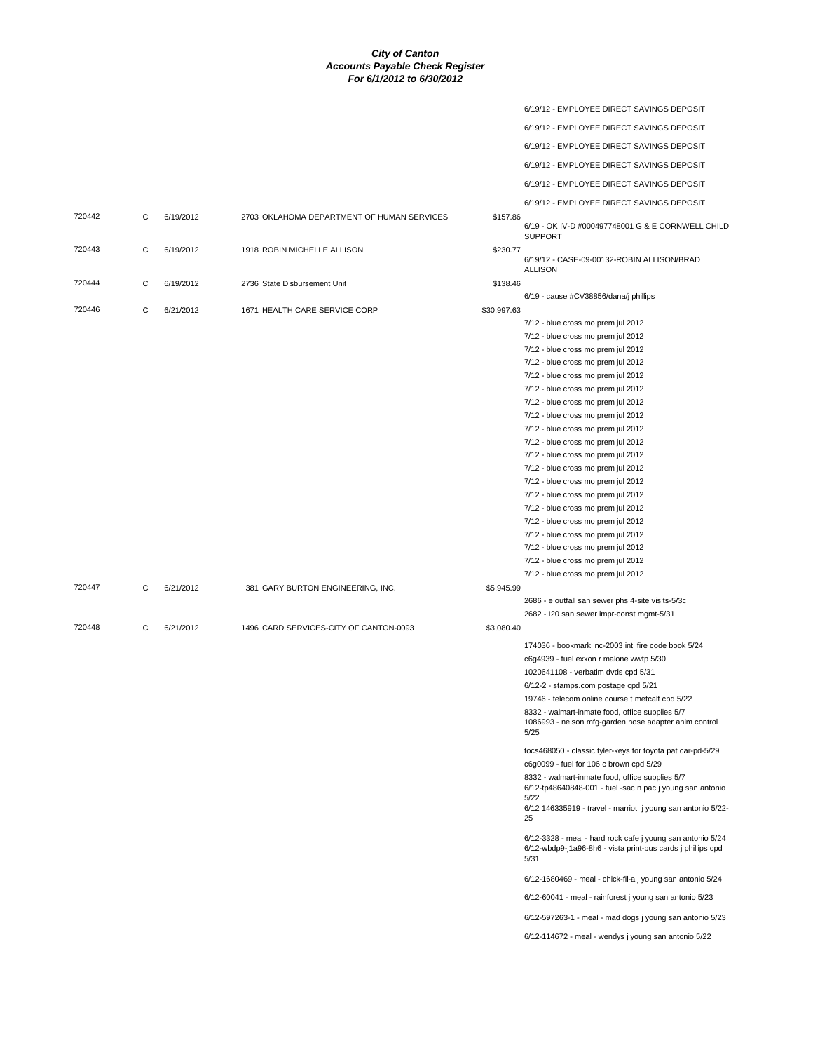|        |   |           |                                            |             | 6/19/12 - EMPLOYEE DIRECT SAVINGS DEPOSIT                                                                                         |
|--------|---|-----------|--------------------------------------------|-------------|-----------------------------------------------------------------------------------------------------------------------------------|
|        |   |           |                                            |             | 6/19/12 - EMPLOYEE DIRECT SAVINGS DEPOSIT                                                                                         |
|        |   |           |                                            |             | 6/19/12 - EMPLOYEE DIRECT SAVINGS DEPOSIT                                                                                         |
|        |   |           |                                            |             |                                                                                                                                   |
|        |   |           |                                            |             | 6/19/12 - EMPLOYEE DIRECT SAVINGS DEPOSIT                                                                                         |
|        |   |           |                                            |             | 6/19/12 - EMPLOYEE DIRECT SAVINGS DEPOSIT                                                                                         |
|        |   |           |                                            |             | 6/19/12 - EMPLOYEE DIRECT SAVINGS DEPOSIT                                                                                         |
| 720442 | С | 6/19/2012 | 2703 OKLAHOMA DEPARTMENT OF HUMAN SERVICES | \$157.86    | 6/19 - OK IV-D #000497748001 G & E CORNWELL CHILD<br><b>SUPPORT</b>                                                               |
| 720443 | С | 6/19/2012 | 1918 ROBIN MICHELLE ALLISON                | \$230.77    | 6/19/12 - CASE-09-00132-ROBIN ALLISON/BRAD<br><b>ALLISON</b>                                                                      |
| 720444 | С | 6/19/2012 | 2736 State Disbursement Unit               | \$138.46    |                                                                                                                                   |
|        |   |           |                                            |             | 6/19 - cause #CV38856/dana/j phillips                                                                                             |
| 720446 | C | 6/21/2012 | 1671 HEALTH CARE SERVICE CORP              | \$30,997.63 | 7/12 - blue cross mo prem jul 2012                                                                                                |
|        |   |           |                                            |             | 7/12 - blue cross mo prem jul 2012                                                                                                |
|        |   |           |                                            |             | 7/12 - blue cross mo prem jul 2012                                                                                                |
|        |   |           |                                            |             |                                                                                                                                   |
|        |   |           |                                            |             | 7/12 - blue cross mo prem jul 2012                                                                                                |
|        |   |           |                                            |             | 7/12 - blue cross mo prem jul 2012                                                                                                |
|        |   |           |                                            |             | 7/12 - blue cross mo prem jul 2012                                                                                                |
|        |   |           |                                            |             | 7/12 - blue cross mo prem jul 2012                                                                                                |
|        |   |           |                                            |             | 7/12 - blue cross mo prem jul 2012                                                                                                |
|        |   |           |                                            |             | 7/12 - blue cross mo prem jul 2012                                                                                                |
|        |   |           |                                            |             | 7/12 - blue cross mo prem jul 2012                                                                                                |
|        |   |           |                                            |             | 7/12 - blue cross mo prem jul 2012                                                                                                |
|        |   |           |                                            |             | 7/12 - blue cross mo prem jul 2012                                                                                                |
|        |   |           |                                            |             | 7/12 - blue cross mo prem jul 2012                                                                                                |
|        |   |           |                                            |             | 7/12 - blue cross mo prem jul 2012                                                                                                |
|        |   |           |                                            |             | 7/12 - blue cross mo prem jul 2012                                                                                                |
|        |   |           |                                            |             | 7/12 - blue cross mo prem jul 2012                                                                                                |
|        |   |           |                                            |             | 7/12 - blue cross mo prem jul 2012                                                                                                |
|        |   |           |                                            |             | 7/12 - blue cross mo prem jul 2012                                                                                                |
|        |   |           |                                            |             | 7/12 - blue cross mo prem jul 2012                                                                                                |
|        |   |           |                                            |             | 7/12 - blue cross mo prem jul 2012                                                                                                |
| 720447 | С | 6/21/2012 | 381 GARY BURTON ENGINEERING, INC.          | \$5,945.99  |                                                                                                                                   |
|        |   |           |                                            |             | 2686 - e outfall san sewer phs 4-site visits-5/3c                                                                                 |
|        |   |           |                                            |             | 2682 - I20 san sewer impr-const mgmt-5/31                                                                                         |
| 720448 | C | 6/21/2012 | 1496 CARD SERVICES-CITY OF CANTON-0093     | \$3,080.40  |                                                                                                                                   |
|        |   |           |                                            |             | 174036 - bookmark inc-2003 intl fire code book 5/24                                                                               |
|        |   |           |                                            |             | c6g4939 - fuel exxon r malone wwtp 5/30                                                                                           |
|        |   |           |                                            |             | 1020641108 - verbatim dvds cpd 5/31                                                                                               |
|        |   |           |                                            |             | 6/12-2 - stamps.com postage cpd 5/21                                                                                              |
|        |   |           |                                            |             | 19746 - telecom online course t metcalf cpd 5/22                                                                                  |
|        |   |           |                                            |             | 8332 - walmart-inmate food, office supplies 5/7<br>1086993 - nelson mfg-garden hose adapter anim control<br>5/25                  |
|        |   |           |                                            |             | tocs468050 - classic tyler-keys for toyota pat car-pd-5/29                                                                        |
|        |   |           |                                            |             | c6g0099 - fuel for 106 c brown cpd 5/29                                                                                           |
|        |   |           |                                            |             | 8332 - walmart-inmate food, office supplies 5/7<br>6/12-tp48640848-001 - fuel -sac n pac j young san antonio<br>5/22              |
|        |   |           |                                            |             | 6/12 146335919 - travel - marriot j young san antonio 5/22-<br>25                                                                 |
|        |   |           |                                            |             | 6/12-3328 - meal - hard rock cafe j young san antonio 5/24<br>6/12-wbdp9-j1a96-8h6 - vista print-bus cards j phillips cpd<br>5/31 |
|        |   |           |                                            |             | 6/12-1680469 - meal - chick-fil-a j young san antonio 5/24                                                                        |
|        |   |           |                                            |             | 6/12-60041 - meal - rainforest j young san antonio 5/23                                                                           |
|        |   |           |                                            |             | 6/12-597263-1 - meal - mad dogs j young san antonio 5/23                                                                          |
|        |   |           |                                            |             | 6/12-114672 - meal - wendys j young san antonio 5/22                                                                              |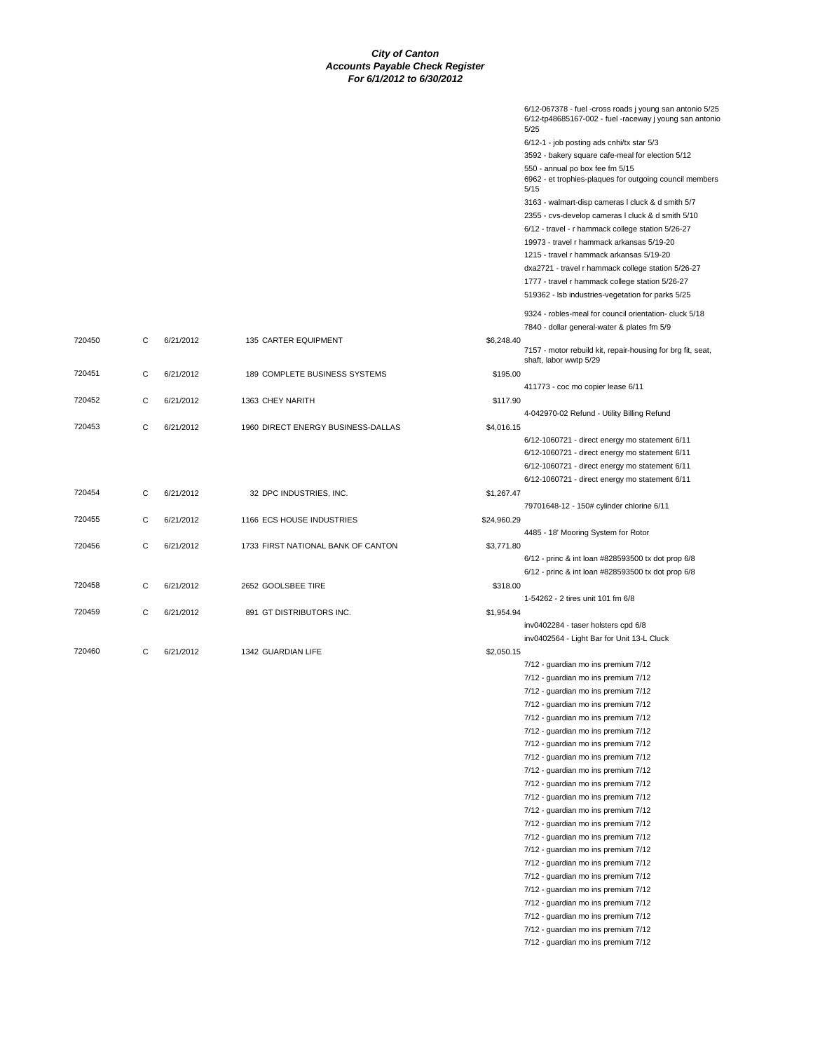|        |   |           |                                    |             | 6/12-067378 - fuel -cross roads j young san antonio 5/25<br>6/12-tp48685167-002 - fuel -raceway j young san antonio<br>5/25 |
|--------|---|-----------|------------------------------------|-------------|-----------------------------------------------------------------------------------------------------------------------------|
|        |   |           |                                    |             | 6/12-1 - job posting ads cnhi/tx star 5/3                                                                                   |
|        |   |           |                                    |             | 3592 - bakery square cafe-meal for election 5/12                                                                            |
|        |   |           |                                    |             | 550 - annual po box fee fm 5/15<br>6962 - et trophies-plaques for outgoing council members<br>5/15                          |
|        |   |           |                                    |             | 3163 - walmart-disp cameras I cluck & d smith 5/7                                                                           |
|        |   |           |                                    |             | 2355 - cvs-develop cameras I cluck & d smith 5/10<br>6/12 - travel - r hammack college station 5/26-27                      |
|        |   |           |                                    |             | 19973 - travel r hammack arkansas 5/19-20                                                                                   |
|        |   |           |                                    |             | 1215 - travel r hammack arkansas 5/19-20                                                                                    |
|        |   |           |                                    |             | dxa2721 - travel r hammack college station 5/26-27                                                                          |
|        |   |           |                                    |             | 1777 - travel r hammack college station 5/26-27                                                                             |
|        |   |           |                                    |             | 519362 - Isb industries-vegetation for parks 5/25                                                                           |
|        |   |           |                                    |             | 9324 - robles-meal for council orientation- cluck 5/18<br>7840 - dollar general-water & plates fm 5/9                       |
| 720450 | C | 6/21/2012 | 135 CARTER EQUIPMENT               | \$6,248.40  | 7157 - motor rebuild kit, repair-housing for brg fit, seat,                                                                 |
| 720451 | С | 6/21/2012 | 189 COMPLETE BUSINESS SYSTEMS      | \$195.00    | shaft, labor wwtp 5/29                                                                                                      |
|        |   |           |                                    |             | 411773 - coc mo copier lease 6/11                                                                                           |
| 720452 | C | 6/21/2012 | 1363 CHEY NARITH                   | \$117.90    |                                                                                                                             |
|        |   |           |                                    |             | 4-042970-02 Refund - Utility Billing Refund                                                                                 |
| 720453 | С | 6/21/2012 | 1960 DIRECT ENERGY BUSINESS-DALLAS | \$4,016.15  | 6/12-1060721 - direct energy mo statement 6/11                                                                              |
|        |   |           |                                    |             | 6/12-1060721 - direct energy mo statement 6/11                                                                              |
|        |   |           |                                    |             | 6/12-1060721 - direct energy mo statement 6/11                                                                              |
|        |   |           |                                    |             | 6/12-1060721 - direct energy mo statement 6/11                                                                              |
| 720454 | С | 6/21/2012 | 32 DPC INDUSTRIES, INC.            | \$1,267.47  |                                                                                                                             |
|        |   |           |                                    |             | 79701648-12 - 150# cylinder chlorine 6/11                                                                                   |
| 720455 | С | 6/21/2012 | 1166 ECS HOUSE INDUSTRIES          | \$24,960.29 |                                                                                                                             |
| 720456 | С | 6/21/2012 | 1733 FIRST NATIONAL BANK OF CANTON | \$3,771.80  | 4485 - 18' Mooring System for Rotor                                                                                         |
|        |   |           |                                    |             | 6/12 - princ & int loan #828593500 tx dot prop 6/8                                                                          |
|        |   |           |                                    |             | 6/12 - princ & int loan #828593500 tx dot prop 6/8                                                                          |
| 720458 | С | 6/21/2012 | 2652 GOOLSBEE TIRE                 | \$318.00    |                                                                                                                             |
|        |   |           |                                    |             | 1-54262 - 2 tires unit 101 fm 6/8                                                                                           |
| 720459 | С | 6/21/2012 | 891 GT DISTRIBUTORS INC.           | \$1,954.94  |                                                                                                                             |
|        |   |           |                                    |             | inv0402284 - taser holsters cpd 6/8                                                                                         |
| 720460 | С | 6/21/2012 | 1342 GUARDIAN LIFE                 | \$2,050.15  | inv0402564 - Light Bar for Unit 13-L Cluck                                                                                  |
|        |   |           |                                    |             | 7/12 - guardian mo ins premium 7/12                                                                                         |
|        |   |           |                                    |             | 7/12 - guardian mo ins premium 7/12                                                                                         |
|        |   |           |                                    |             | 7/12 - guardian mo ins premium 7/12                                                                                         |
|        |   |           |                                    |             | 7/12 - guardian mo ins premium 7/12                                                                                         |
|        |   |           |                                    |             | 7/12 - guardian mo ins premium 7/12                                                                                         |
|        |   |           |                                    |             | 7/12 - guardian mo ins premium 7/12                                                                                         |
|        |   |           |                                    |             | 7/12 - guardian mo ins premium 7/12                                                                                         |
|        |   |           |                                    |             | 7/12 - guardian mo ins premium 7/12                                                                                         |
|        |   |           |                                    |             | 7/12 - guardian mo ins premium 7/12                                                                                         |
|        |   |           |                                    |             | 7/12 - guardian mo ins premium 7/12<br>7/12 - guardian mo ins premium 7/12                                                  |
|        |   |           |                                    |             | 7/12 - quardian mo ins premium 7/12                                                                                         |
|        |   |           |                                    |             | 7/12 - guardian mo ins premium 7/12                                                                                         |
|        |   |           |                                    |             | 7/12 - guardian mo ins premium 7/12                                                                                         |
|        |   |           |                                    |             | 7/12 - guardian mo ins premium 7/12                                                                                         |
|        |   |           |                                    |             | 7/12 - guardian mo ins premium 7/12                                                                                         |
|        |   |           |                                    |             | 7/12 - guardian mo ins premium 7/12                                                                                         |
|        |   |           |                                    |             | 7/12 - guardian mo ins premium 7/12                                                                                         |
|        |   |           |                                    |             | 7/12 - guardian mo ins premium 7/12                                                                                         |
|        |   |           |                                    |             | 7/12 - guardian mo ins premium 7/12                                                                                         |
|        |   |           |                                    |             | 7/12 - guardian mo ins premium 7/12                                                                                         |
|        |   |           |                                    |             | 7/12 - guardian mo ins premium 7/12                                                                                         |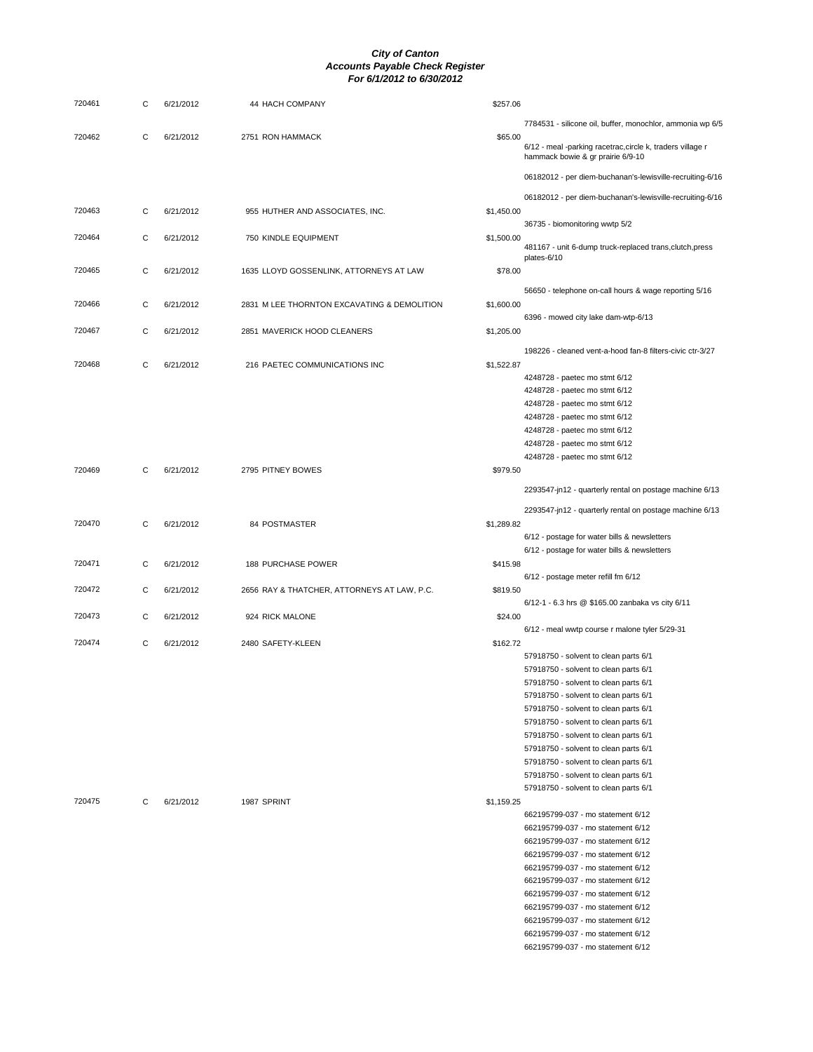| 720461 | С | 6/21/2012 | 44 HACH COMPANY                             | \$257.06   |                                                                                                 |
|--------|---|-----------|---------------------------------------------|------------|-------------------------------------------------------------------------------------------------|
| 720462 | C | 6/21/2012 | 2751 RON HAMMACK                            | \$65.00    | 7784531 - silicone oil, buffer, monochlor, ammonia wp 6/5                                       |
|        |   |           |                                             |            | 6/12 - meal -parking racetrac, circle k, traders village r<br>hammack bowie & gr prairie 6/9-10 |
|        |   |           |                                             |            | 06182012 - per diem-buchanan's-lewisville-recruiting-6/16                                       |
|        |   |           |                                             |            | 06182012 - per diem-buchanan's-lewisville-recruiting-6/16                                       |
| 720463 | C | 6/21/2012 | 955 HUTHER AND ASSOCIATES, INC.             | \$1,450.00 | 36735 - biomonitoring wwtp 5/2                                                                  |
| 720464 | С | 6/21/2012 | 750 KINDLE EQUIPMENT                        | \$1,500.00 | 481167 - unit 6-dump truck-replaced trans, clutch, press                                        |
| 720465 | С | 6/21/2012 | 1635 LLOYD GOSSENLINK, ATTORNEYS AT LAW     | \$78.00    | plates-6/10                                                                                     |
| 720466 | С | 6/21/2012 | 2831 M LEE THORNTON EXCAVATING & DEMOLITION | \$1,600.00 | 56650 - telephone on-call hours & wage reporting 5/16                                           |
|        | C |           |                                             |            | 6396 - mowed city lake dam-wtp-6/13                                                             |
| 720467 |   | 6/21/2012 | 2851 MAVERICK HOOD CLEANERS                 | \$1,205.00 | 198226 - cleaned vent-a-hood fan-8 filters-civic ctr-3/27                                       |
| 720468 | C | 6/21/2012 | 216 PAETEC COMMUNICATIONS INC               | \$1,522.87 |                                                                                                 |
|        |   |           |                                             |            | 4248728 - paetec mo stmt 6/12                                                                   |
|        |   |           |                                             |            | 4248728 - paetec mo stmt 6/12                                                                   |
|        |   |           |                                             |            | 4248728 - paetec mo stmt 6/12                                                                   |
|        |   |           |                                             |            | 4248728 - paetec mo stmt 6/12                                                                   |
|        |   |           |                                             |            | 4248728 - paetec mo stmt 6/12                                                                   |
|        |   |           |                                             |            | 4248728 - paetec mo stmt 6/12                                                                   |
|        |   |           |                                             |            | 4248728 - paetec mo stmt 6/12                                                                   |
| 720469 | C | 6/21/2012 | 2795 PITNEY BOWES                           | \$979.50   |                                                                                                 |
|        |   |           |                                             |            | 2293547-jn12 - quarterly rental on postage machine 6/13                                         |
| 720470 | C |           |                                             |            | 2293547-jn12 - quarterly rental on postage machine 6/13                                         |
|        |   | 6/21/2012 | 84 POSTMASTER                               | \$1,289.82 | 6/12 - postage for water bills & newsletters                                                    |
|        |   |           |                                             |            |                                                                                                 |
| 720471 | C | 6/21/2012 | 188 PURCHASE POWER                          | \$415.98   | 6/12 - postage for water bills & newsletters                                                    |
| 720472 | С | 6/21/2012 | 2656 RAY & THATCHER, ATTORNEYS AT LAW, P.C. | \$819.50   | 6/12 - postage meter refill fm 6/12                                                             |
| 720473 |   |           |                                             |            | 6/12-1 - 6.3 hrs @ \$165.00 zanbaka vs city 6/11                                                |
|        | С | 6/21/2012 | 924 RICK MALONE                             | \$24.00    | 6/12 - meal wwtp course r malone tyler 5/29-31                                                  |
| 720474 | C | 6/21/2012 | 2480 SAFETY-KLEEN                           | \$162.72   |                                                                                                 |
|        |   |           |                                             |            | 57918750 - solvent to clean parts 6/1                                                           |
|        |   |           |                                             |            | 57918750 - solvent to clean parts 6/1                                                           |
|        |   |           |                                             |            | 57918750 - solvent to clean parts 6/1                                                           |
|        |   |           |                                             |            | 57918750 - solvent to clean parts 6/1                                                           |
|        |   |           |                                             |            | 57918750 - solvent to clean parts 6/1                                                           |
|        |   |           |                                             |            | 57918750 - solvent to clean parts 6/1                                                           |
|        |   |           |                                             |            | 57918750 - solvent to clean parts 6/1                                                           |
|        |   |           |                                             |            | 57918750 - solvent to clean parts 6/1                                                           |
|        |   |           |                                             |            | 57918750 - solvent to clean parts 6/1                                                           |
|        |   |           |                                             |            | 57918750 - solvent to clean parts 6/1                                                           |
|        |   |           |                                             |            | 57918750 - solvent to clean parts 6/1                                                           |
| 720475 | C | 6/21/2012 | 1987 SPRINT                                 | \$1,159.25 |                                                                                                 |
|        |   |           |                                             |            | 662195799-037 - mo statement 6/12                                                               |
|        |   |           |                                             |            | 662195799-037 - mo statement 6/12                                                               |
|        |   |           |                                             |            | 662195799-037 - mo statement 6/12                                                               |
|        |   |           |                                             |            | 662195799-037 - mo statement 6/12                                                               |
|        |   |           |                                             |            | 662195799-037 - mo statement 6/12                                                               |
|        |   |           |                                             |            | 662195799-037 - mo statement 6/12                                                               |
|        |   |           |                                             |            | 662195799-037 - mo statement 6/12                                                               |
|        |   |           |                                             |            | 662195799-037 - mo statement 6/12                                                               |
|        |   |           |                                             |            | 662195799-037 - mo statement 6/12                                                               |
|        |   |           |                                             |            |                                                                                                 |
|        |   |           |                                             |            | 662195799-037 - mo statement 6/12                                                               |
|        |   |           |                                             |            | 662195799-037 - mo statement 6/12                                                               |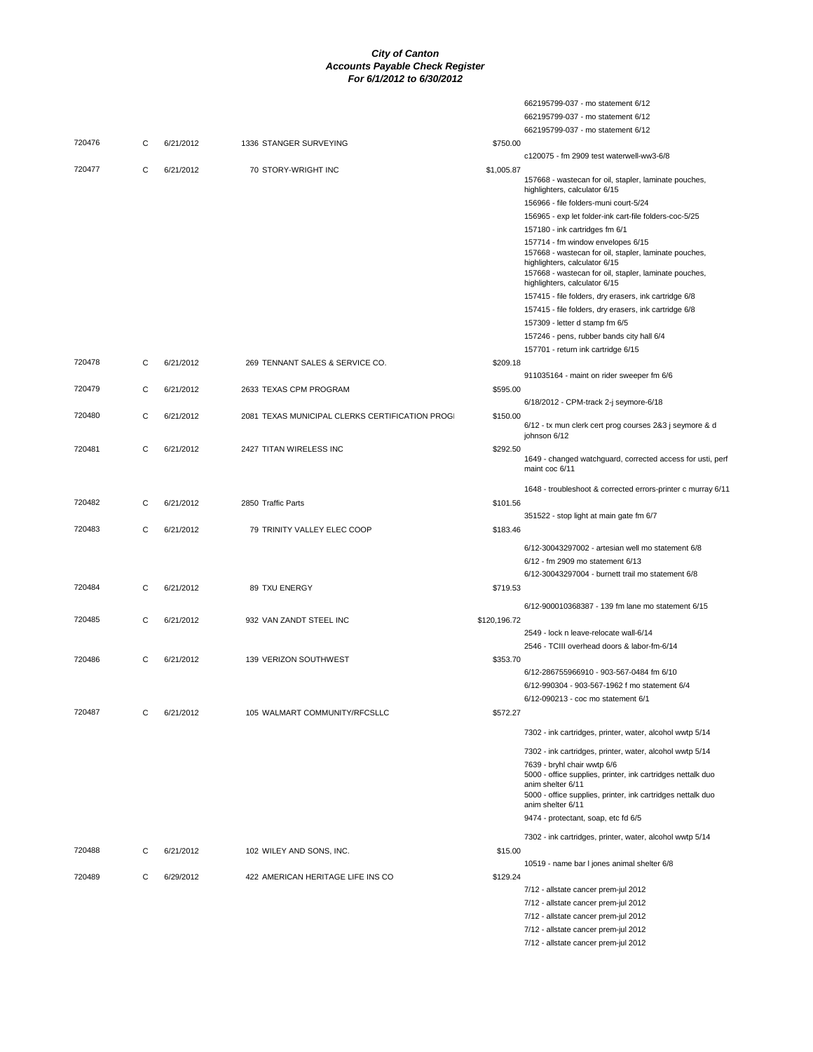|        |   |           |                                                 |              | 662195799-037 - mo statement 6/12                                                                              |
|--------|---|-----------|-------------------------------------------------|--------------|----------------------------------------------------------------------------------------------------------------|
|        |   |           |                                                 |              | 662195799-037 - mo statement 6/12                                                                              |
|        |   |           |                                                 |              | 662195799-037 - mo statement 6/12                                                                              |
| 720476 | C | 6/21/2012 | 1336 STANGER SURVEYING                          | \$750.00     |                                                                                                                |
|        |   |           |                                                 |              | c120075 - fm 2909 test waterwell-ww3-6/8                                                                       |
| 720477 | C | 6/21/2012 | 70 STORY-WRIGHT INC                             | \$1,005.87   |                                                                                                                |
|        |   |           |                                                 |              | 157668 - wastecan for oil, stapler, laminate pouches,<br>highlighters, calculator 6/15                         |
|        |   |           |                                                 |              | 156966 - file folders-muni court-5/24                                                                          |
|        |   |           |                                                 |              | 156965 - exp let folder-ink cart-file folders-coc-5/25                                                         |
|        |   |           |                                                 |              | 157180 - ink cartridges fm 6/1                                                                                 |
|        |   |           |                                                 |              | 157714 - fm window envelopes 6/15                                                                              |
|        |   |           |                                                 |              | 157668 - wastecan for oil, stapler, laminate pouches,                                                          |
|        |   |           |                                                 |              | highlighters, calculator 6/15                                                                                  |
|        |   |           |                                                 |              | 157668 - wastecan for oil, stapler, laminate pouches,                                                          |
|        |   |           |                                                 |              | highlighters, calculator 6/15                                                                                  |
|        |   |           |                                                 |              | 157415 - file folders, dry erasers, ink cartridge 6/8<br>157415 - file folders, dry erasers, ink cartridge 6/8 |
|        |   |           |                                                 |              | 157309 - letter d stamp fm 6/5                                                                                 |
|        |   |           |                                                 |              |                                                                                                                |
|        |   |           |                                                 |              | 157246 - pens, rubber bands city hall 6/4                                                                      |
| 720478 | С | 6/21/2012 | 269 TENNANT SALES & SERVICE CO.                 | \$209.18     | 157701 - return ink cartridge 6/15                                                                             |
|        |   |           |                                                 |              | 911035164 - maint on rider sweeper fm 6/6                                                                      |
| 720479 | C | 6/21/2012 | 2633 TEXAS CPM PROGRAM                          | \$595.00     |                                                                                                                |
|        |   |           |                                                 |              | 6/18/2012 - CPM-track 2-j seymore-6/18                                                                         |
| 720480 | C | 6/21/2012 | 2081 TEXAS MUNICIPAL CLERKS CERTIFICATION PROGI | \$150.00     |                                                                                                                |
|        |   |           |                                                 |              | 6/12 - tx mun clerk cert prog courses 2&3 j seymore & d                                                        |
|        |   |           |                                                 |              | iohnson 6/12                                                                                                   |
| 720481 | C | 6/21/2012 | 2427 TITAN WIRELESS INC                         | \$292.50     |                                                                                                                |
|        |   |           |                                                 |              | 1649 - changed watchguard, corrected access for usti, perf<br>maint coc 6/11                                   |
|        |   |           |                                                 |              |                                                                                                                |
|        |   |           |                                                 |              | 1648 - troubleshoot & corrected errors-printer c murray 6/11                                                   |
| 720482 | C | 6/21/2012 | 2850 Traffic Parts                              | \$101.56     |                                                                                                                |
|        |   |           |                                                 |              | 351522 - stop light at main gate fm 6/7                                                                        |
| 720483 | C | 6/21/2012 | 79 TRINITY VALLEY ELEC COOP                     | \$183.46     |                                                                                                                |
|        |   |           |                                                 |              | 6/12-30043297002 - artesian well mo statement 6/8                                                              |
|        |   |           |                                                 |              | 6/12 - fm 2909 mo statement 6/13                                                                               |
|        |   |           |                                                 |              | 6/12-30043297004 - burnett trail mo statement 6/8                                                              |
| 720484 | C | 6/21/2012 | 89 TXU ENERGY                                   | \$719.53     |                                                                                                                |
|        |   |           |                                                 |              | 6/12-900010368387 - 139 fm lane mo statement 6/15                                                              |
| 720485 | C | 6/21/2012 | 932 VAN ZANDT STEEL INC                         | \$120,196.72 |                                                                                                                |
|        |   |           |                                                 |              | 2549 - lock n leave-relocate wall-6/14                                                                         |
|        |   |           |                                                 |              | 2546 - TCIII overhead doors & labor-fm-6/14                                                                    |
| 720486 | C | 6/21/2012 | 139 VERIZON SOUTHWEST                           | \$353.70     |                                                                                                                |
|        |   |           |                                                 |              | 6/12-286755966910 - 903-567-0484 fm 6/10                                                                       |
|        |   |           |                                                 |              | 6/12-990304 - 903-567-1962 f mo statement 6/4                                                                  |
|        |   |           |                                                 |              | 6/12-090213 - coc mo statement 6/1                                                                             |
| 720487 | C | 6/21/2012 | 105 WALMART COMMUNITY/RFCSLLC                   | \$572.27     |                                                                                                                |
|        |   |           |                                                 |              |                                                                                                                |
|        |   |           |                                                 |              | 7302 - ink cartridges, printer, water, alcohol wwtp 5/14                                                       |
|        |   |           |                                                 |              | 7302 - ink cartridges, printer, water, alcohol wwtp 5/14                                                       |
|        |   |           |                                                 |              | 7639 - bryhl chair wwtp 6/6                                                                                    |
|        |   |           |                                                 |              | 5000 - office supplies, printer, ink cartridges nettalk duo                                                    |
|        |   |           |                                                 |              | anim shelter 6/11<br>5000 - office supplies, printer, ink cartridges nettalk duo                               |
|        |   |           |                                                 |              | anim shelter 6/11                                                                                              |
|        |   |           |                                                 |              | 9474 - protectant, soap, etc fd 6/5                                                                            |
|        |   |           |                                                 |              |                                                                                                                |
|        |   |           |                                                 |              | 7302 - ink cartridges, printer, water, alcohol wwtp 5/14                                                       |
| 720488 | С | 6/21/2012 | 102 WILEY AND SONS, INC.                        | \$15.00      |                                                                                                                |
|        |   |           |                                                 |              | 10519 - name bar I jones animal shelter 6/8                                                                    |
| 720489 | C | 6/29/2012 | 422 AMERICAN HERITAGE LIFE INS CO               | \$129.24     |                                                                                                                |
|        |   |           |                                                 |              | 7/12 - allstate cancer prem-jul 2012                                                                           |
|        |   |           |                                                 |              | 7/12 - allstate cancer prem-jul 2012<br>7/12 - allstate cancer prem-jul 2012                                   |
|        |   |           |                                                 |              |                                                                                                                |
|        |   |           |                                                 |              | 7/12 - allstate cancer prem-jul 2012<br>7/12 - allstate cancer prem-jul 2012                                   |
|        |   |           |                                                 |              |                                                                                                                |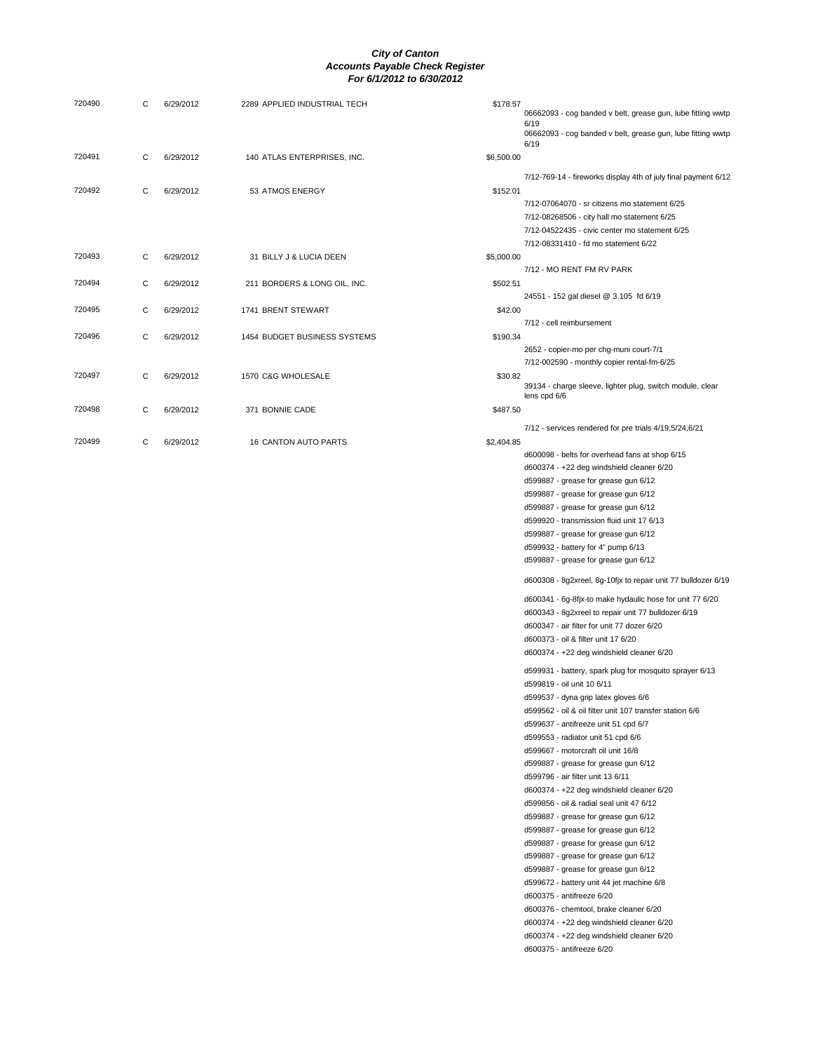|           |                              | \$178.57                     | 06662093 - cog banded v belt, grease gun, lube fitting wwtp<br>6/19<br>06662093 - cog banded v belt, grease gun, lube fitting wwtp<br>6/19                                                                                                                                                                                                                                                                                                                                                                                                                                                                                                                                                                                                                                                                                                                                                                                                                                                                                                                                                                                                                                                                                                                                                                                                                                                                                                                                                                                       |
|-----------|------------------------------|------------------------------|----------------------------------------------------------------------------------------------------------------------------------------------------------------------------------------------------------------------------------------------------------------------------------------------------------------------------------------------------------------------------------------------------------------------------------------------------------------------------------------------------------------------------------------------------------------------------------------------------------------------------------------------------------------------------------------------------------------------------------------------------------------------------------------------------------------------------------------------------------------------------------------------------------------------------------------------------------------------------------------------------------------------------------------------------------------------------------------------------------------------------------------------------------------------------------------------------------------------------------------------------------------------------------------------------------------------------------------------------------------------------------------------------------------------------------------------------------------------------------------------------------------------------------|
| 6/29/2012 | 140 ATLAS ENTERPRISES, INC.  | \$6,500.00                   |                                                                                                                                                                                                                                                                                                                                                                                                                                                                                                                                                                                                                                                                                                                                                                                                                                                                                                                                                                                                                                                                                                                                                                                                                                                                                                                                                                                                                                                                                                                                  |
| 6/29/2012 | 53 ATMOS ENERGY              | \$152.01                     | 7/12-769-14 - fireworks display 4th of july final payment 6/12<br>7/12-07064070 - sr citizens mo statement 6/25<br>7/12-08268506 - city hall mo statement 6/25<br>7/12-04522435 - civic center mo statement 6/25                                                                                                                                                                                                                                                                                                                                                                                                                                                                                                                                                                                                                                                                                                                                                                                                                                                                                                                                                                                                                                                                                                                                                                                                                                                                                                                 |
| 6/29/2012 | 31 BILLY J & LUCIA DEEN      | \$5,000.00                   | 7/12-08331410 - fd mo statement 6/22                                                                                                                                                                                                                                                                                                                                                                                                                                                                                                                                                                                                                                                                                                                                                                                                                                                                                                                                                                                                                                                                                                                                                                                                                                                                                                                                                                                                                                                                                             |
|           |                              |                              | 7/12 - MO RENT FM RV PARK                                                                                                                                                                                                                                                                                                                                                                                                                                                                                                                                                                                                                                                                                                                                                                                                                                                                                                                                                                                                                                                                                                                                                                                                                                                                                                                                                                                                                                                                                                        |
| 6/29/2012 | 1741 BRENT STEWART           | \$42.00                      | 24551 - 152 gal diesel @ 3.105 fd 6/19                                                                                                                                                                                                                                                                                                                                                                                                                                                                                                                                                                                                                                                                                                                                                                                                                                                                                                                                                                                                                                                                                                                                                                                                                                                                                                                                                                                                                                                                                           |
| 6/29/2012 | 1454 BUDGET BUSINESS SYSTEMS | \$190.34                     | 7/12 - cell reimbursement                                                                                                                                                                                                                                                                                                                                                                                                                                                                                                                                                                                                                                                                                                                                                                                                                                                                                                                                                                                                                                                                                                                                                                                                                                                                                                                                                                                                                                                                                                        |
|           |                              |                              | 2652 - copier-mo per chg-muni court-7/1<br>7/12-002590 - monthly copier rental-fm-6/25                                                                                                                                                                                                                                                                                                                                                                                                                                                                                                                                                                                                                                                                                                                                                                                                                                                                                                                                                                                                                                                                                                                                                                                                                                                                                                                                                                                                                                           |
| 6/29/2012 | 1570 C&G WHOLESALE           | \$30.82                      | 39134 - charge sleeve, lighter plug, switch module, clear<br>lens cpd 6/6                                                                                                                                                                                                                                                                                                                                                                                                                                                                                                                                                                                                                                                                                                                                                                                                                                                                                                                                                                                                                                                                                                                                                                                                                                                                                                                                                                                                                                                        |
| 6/29/2012 | 371 BONNIE CADE              | \$487.50                     | 7/12 - services rendered for pre trials 4/19,5/24,6/21                                                                                                                                                                                                                                                                                                                                                                                                                                                                                                                                                                                                                                                                                                                                                                                                                                                                                                                                                                                                                                                                                                                                                                                                                                                                                                                                                                                                                                                                           |
| 6/29/2012 | <b>16 CANTON AUTO PARTS</b>  | \$2,404.85                   | d600098 - belts for overhead fans at shop 6/15<br>d600374 - +22 deg windshield cleaner 6/20<br>d599887 - grease for grease gun 6/12<br>d599887 - grease for grease gun 6/12<br>d599887 - grease for grease gun 6/12<br>d599920 - transmission fluid unit 17 6/13<br>d599887 - grease for grease gun 6/12<br>d599932 - battery for 4" pump 6/13<br>d599887 - grease for grease gun 6/12<br>d600308 - 8g2xreel, 8g-10fjx to repair unit 77 bulldozer 6/19<br>d600341 - 6g-8fjx-to make hydaulic hose for unit 77 6/20<br>d600343 - 8g2xreel to repair unit 77 bulldozer 6/19<br>d600347 - air filter for unit 77 dozer 6/20<br>d600373 - oil & filter unit 17 6/20<br>d600374 - +22 deg windshield cleaner 6/20<br>d599931 - battery, spark plug for mosquito sprayer 6/13<br>d599819 - oil unit 10 6/11<br>d599537 - dyna grip latex gloves 6/6<br>d599562 - oil & oil filter unit 107 transfer station 6/6<br>d599637 - antifreeze unit 51 cpd 6/7<br>d599553 - radiator unit 51 cpd 6/6<br>d599667 - motorcraft oil unit 16/8<br>d599887 - grease for grease gun 6/12<br>d599796 - air filter unit 13 6/11<br>d600374 - +22 deg windshield cleaner 6/20<br>d599856 - oil & radial seal unit 47 6/12<br>d599887 - grease for grease gun 6/12<br>d599887 - grease for grease gun 6/12<br>d599887 - grease for grease gun 6/12<br>d599887 - grease for grease gun 6/12<br>d599887 - grease for grease gun 6/12<br>d599672 - battery unit 44 jet machine 6/8<br>d600375 - antifreeze 6/20<br>d600376 - chemtool, brake cleaner 6/20 |
|           | 6/29/2012                    | 211 BORDERS & LONG OIL, INC. | \$502.51                                                                                                                                                                                                                                                                                                                                                                                                                                                                                                                                                                                                                                                                                                                                                                                                                                                                                                                                                                                                                                                                                                                                                                                                                                                                                                                                                                                                                                                                                                                         |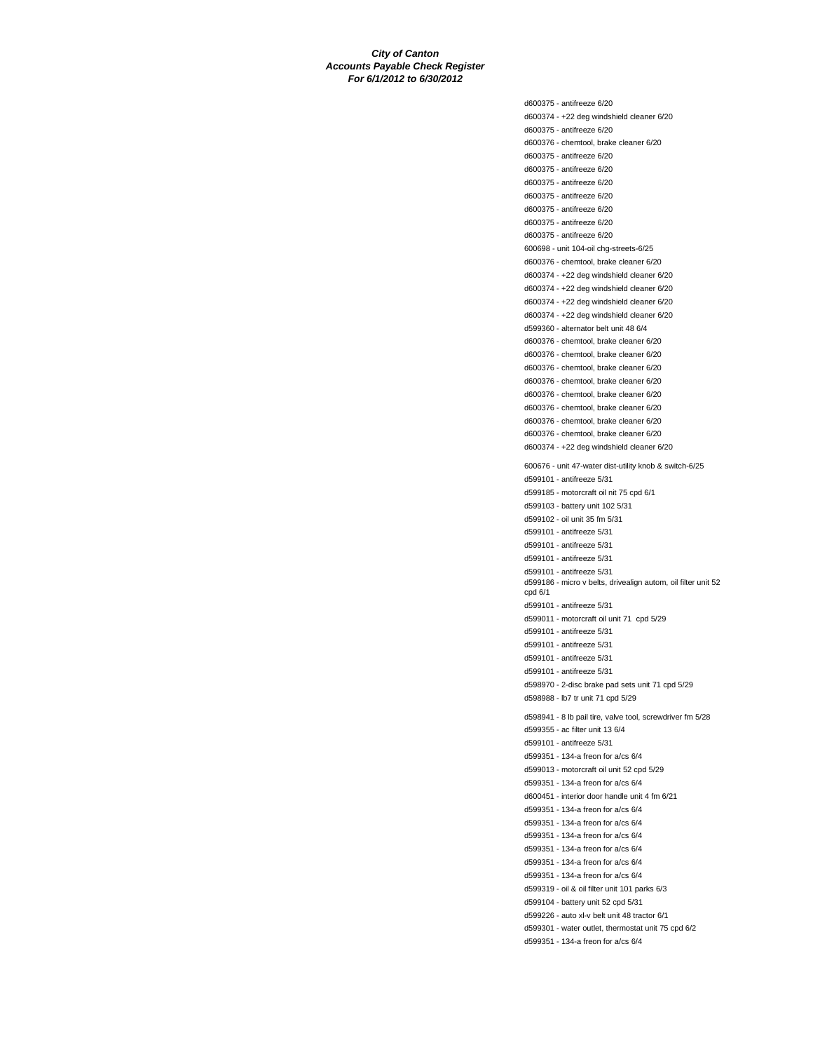d600375 - antifreeze 6/20 d600374 - +22 deg windshield cleaner 6/20 d600375 - antifreeze 6/20 d600376 - chemtool, brake cleaner 6/20 d600375 - antifreeze 6/20 d600375 - antifreeze 6/20 d600375 - antifreeze 6/20 d600375 - antifreeze 6/20 d600375 - antifreeze 6/20 d600375 - antifreeze 6/20 d600375 - antifreeze 6/20 600698 - unit 104-oil chg-streets-6/25 d600376 - chemtool, brake cleaner 6/20 d600374 - +22 deg windshield cleaner 6/20 d600374 - +22 deg windshield cleaner 6/20 d600374 - +22 deg windshield cleaner 6/20 d600374 - +22 deg windshield cleaner 6/20 d599360 - alternator belt unit 48 6/4 d600376 - chemtool, brake cleaner 6/20 d600376 - chemtool, brake cleaner 6/20 d600376 - chemtool, brake cleaner 6/20 d600376 - chemtool, brake cleaner 6/20 d600376 - chemtool, brake cleaner 6/20 d600376 - chemtool, brake cleaner 6/20 d600376 - chemtool, brake cleaner 6/20 d600376 - chemtool, brake cleaner 6/20 d600374 - +22 deg windshield cleaner 6/20 600676 - unit 47-water dist-utility knob & switch-6/25 d599101 - antifreeze 5/31 d599185 - motorcraft oil nit 75 cpd 6/1 d599103 - battery unit 102 5/31 d599102 - oil unit 35 fm 5/31 d599101 - antifreeze 5/31 d599101 - antifreeze 5/31 d599101 - antifreeze 5/31 d599101 - antifreeze 5/31 d599186 - micro v belts, drivealign autom, oil filter unit 52 cpd 6/1 d599101 - antifreeze 5/31 d599011 - motorcraft oil unit 71 cpd 5/29 d599101 - antifreeze 5/31 d599101 - antifreeze 5/31 d599101 - antifreeze 5/31 d599101 - antifreeze 5/31 d598970 - 2-disc brake pad sets unit 71 cpd 5/29 d598988 - lb7 tr unit 71 cpd 5/29 d598941 - 8 lb pail tire, valve tool, screwdriver fm 5/28 d599355 - ac filter unit 13 6/4 d599101 - antifreeze 5/31 d599351 - 134-a freon for a/cs 6/4 d599013 - motorcraft oil unit 52 cpd 5/29 d599351 - 134-a freon for a/cs 6/4 d600451 - interior door handle unit 4 fm 6/21 d599351 - 134-a freon for a/cs 6/4 d599351 - 134-a freon for a/cs 6/4 d599351 - 134-a freon for a/cs 6/4 d599351 - 134-a freon for a/cs 6/4 d599351 - 134-a freon for a/cs 6/4 d599351 - 134-a freon for a/cs 6/4 d599319 - oil & oil filter unit 101 parks 6/3 d599104 - battery unit 52 cpd 5/31 d599226 - auto xl-v belt unit 48 tractor 6/1 d599301 - water outlet, thermostat unit 75 cpd 6/2 d599351 - 134-a freon for a/cs 6/4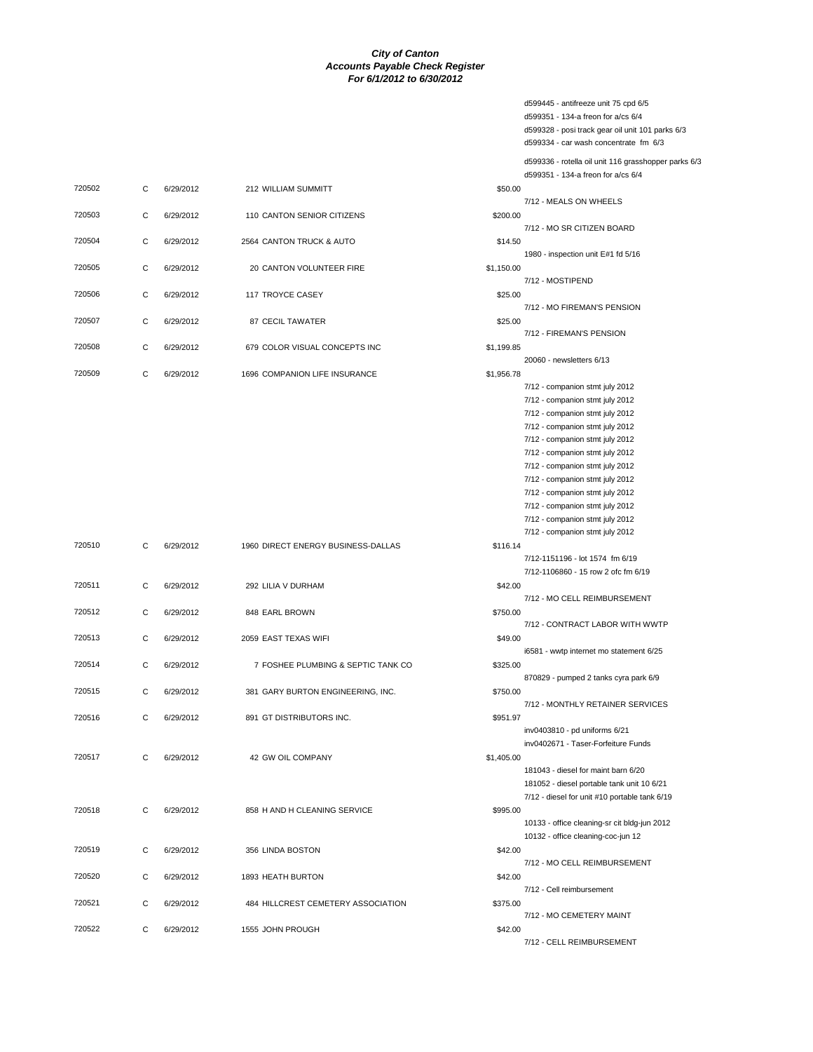| 720502 | C | 6/29/2012 | 212 WILLIAM SUMMITT                  | \$50.00    |
|--------|---|-----------|--------------------------------------|------------|
| 720503 | C | 6/29/2012 | 110 CANTON SENIOR CITIZENS           | \$200.00   |
| 720504 | C | 6/29/2012 | 2564 CANTON TRUCK & AUTO             | \$14.50    |
| 720505 | C | 6/29/2012 | 20 CANTON VOLUNTEER FIRE             | \$1,150.00 |
| 720506 | C | 6/29/2012 | <b>117 TROYCE CASEY</b>              | \$25.00    |
| 720507 | C | 6/29/2012 | <b>87 CECIL TAWATER</b>              | \$25.00    |
| 720508 | C | 6/29/2012 | 679 COLOR VISUAL CONCEPTS INC        | \$1,199.85 |
| 720509 | C | 6/29/2012 | <b>1696 COMPANION LIFE INSURANCE</b> | \$1,956.78 |
|        |   |           |                                      |            |

| 720510 | $\mathsf{C}$ | 6/29/2012 | 1960 DIRECT ENERGY BUSINESS-DALLAS | \$116.14   |
|--------|--------------|-----------|------------------------------------|------------|
| 720511 | C            | 6/29/2012 | 292 LILIA V DURHAM                 | \$42.00    |
| 720512 | $\mathsf{C}$ | 6/29/2012 | 848 EARL BROWN                     | \$750.00   |
| 720513 | $\mathsf{C}$ | 6/29/2012 | 2059 EAST TEXAS WIFI               | \$49.00    |
| 720514 | $\mathsf{C}$ | 6/29/2012 | 7 FOSHEE PLUMBING & SEPTIC TANK CO | \$325.00   |
| 720515 | $\mathsf{C}$ | 6/29/2012 | 381 GARY BURTON ENGINEERING, INC.  | \$750.00   |
| 720516 | $\mathsf{C}$ | 6/29/2012 | 891 GT DISTRIBUTORS INC.           | \$951.97   |
| 720517 | $\mathsf{C}$ | 6/29/2012 | 42 GW OIL COMPANY                  | \$1,405.00 |
| 720518 | C            | 6/29/2012 | 858 H AND H CLEANING SERVICE       | \$995.00   |
| 720519 | $\mathsf{C}$ | 6/29/2012 | 356 LINDA BOSTON                   | \$42.00    |
| 720520 | $\mathsf{C}$ | 6/29/2012 | 1893 HEATH BURTON                  | \$42.00    |
| 720521 | $\mathsf{C}$ | 6/29/2012 | 484 HILLCREST CEMETERY ASSOCIATION | \$375.00   |
| 720522 | $\mathsf{C}$ | 6/29/2012 | 1555 JOHN PROUGH                   | \$42.00    |

d599445 - antifreeze unit 75 cpd 6/5 d599351 - 134-a freon for a/cs 6/4 d599328 - posi track gear oil unit 101 parks 6/3 d599334 - car wash concentrate fm 6/3 d599336 - rotella oil unit 116 grasshopper parks 6/3 d599351 - 134-a freon for a/cs 6/4 7/12 - MEALS ON WHEELS 7/12 - MO SR CITIZEN BOARD 1980 - inspection unit E#1 fd 5/16 7/12 - MOSTIPEND 7/12 - MO FIREMAN'S PENSION 7/12 - FIREMAN'S PENSION 20060 - newsletters 6/13 7/12 - companion stmt july 2012 7/12 - companion stmt july 2012 7/12 - companion stmt july 2012 7/12 - companion stmt july 2012 7/12 - companion stmt july 2012 7/12 - companion stmt july 2012 7/12 - companion stmt july 2012 7/12 - companion stmt july 2012 7/12 - companion stmt july 2012 7/12 - companion stmt july 2012 7/12 - companion stmt july 2012 7/12 - companion stmt july 2012 7/12-1151196 - lot 1574 fm 6/19 7/12-1106860 - 15 row 2 ofc fm 6/19 7/12 - MO CELL REIMBURSEMENT 7/12 - CONTRACT LABOR WITH WWTP i6581 - wwtp internet mo statement 6/25 870829 - pumped 2 tanks cyra park 6/9 7/12 - MONTHLY RETAINER SERVICES inv0403810 - pd uniforms 6/21 inv0402671 - Taser-Forfeiture Funds 181043 - diesel for maint barn 6/20 181052 - diesel portable tank unit 10 6/21 7/12 - diesel for unit #10 portable tank 6/19 10133 - office cleaning-sr cit bldg-jun 2012 10132 - office cleaning-coc-jun 12 7/12 - MO CELL REIMBURSEMENT 7/12 - Cell reimbursement 7/12 - MO CEMETERY MAINT 7/12 - CELL REIMBURSEMENT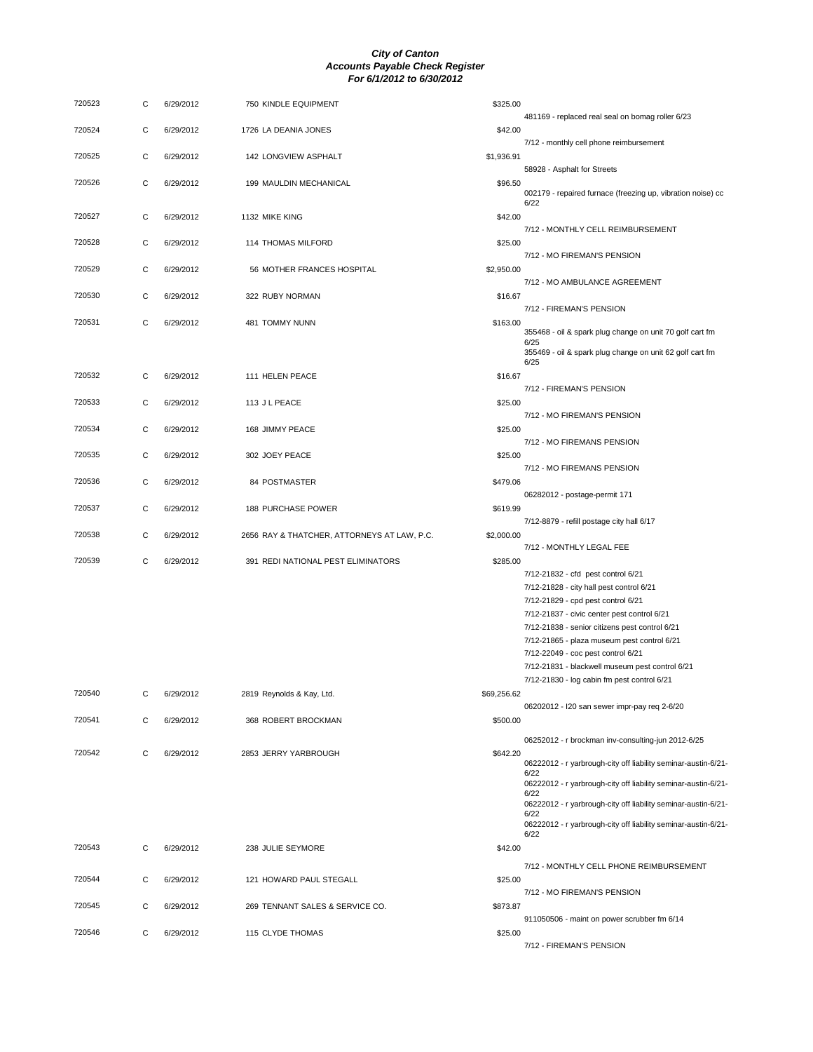| 720523 | С | 6/29/2012 | 750 KINDLE EQUIPMENT                        | \$325.00    |                                                                                                                                          |
|--------|---|-----------|---------------------------------------------|-------------|------------------------------------------------------------------------------------------------------------------------------------------|
| 720524 | C | 6/29/2012 | 1726 LA DEANIA JONES                        | \$42.00     | 481169 - replaced real seal on bomag roller 6/23                                                                                         |
| 720525 | C | 6/29/2012 | 142 LONGVIEW ASPHALT                        | \$1,936.91  | 7/12 - monthly cell phone reimbursement                                                                                                  |
| 720526 | C | 6/29/2012 | 199 MAULDIN MECHANICAL                      | \$96.50     | 58928 - Asphalt for Streets                                                                                                              |
|        | C |           |                                             |             | 002179 - repaired furnace (freezing up, vibration noise) cc<br>6/22                                                                      |
| 720527 |   | 6/29/2012 | 1132 MIKE KING                              | \$42.00     | 7/12 - MONTHLY CELL REIMBURSEMENT                                                                                                        |
| 720528 | C | 6/29/2012 | 114 THOMAS MILFORD                          | \$25.00     | 7/12 - MO FIREMAN'S PENSION                                                                                                              |
| 720529 | C | 6/29/2012 | 56 MOTHER FRANCES HOSPITAL                  | \$2,950.00  | 7/12 - MO AMBULANCE AGREEMENT                                                                                                            |
| 720530 | C | 6/29/2012 | 322 RUBY NORMAN                             | \$16.67     | 7/12 - FIREMAN'S PENSION                                                                                                                 |
| 720531 | C | 6/29/2012 | 481 TOMMY NUNN                              | \$163.00    | 355468 - oil & spark plug change on unit 70 golf cart fm<br>6/25                                                                         |
|        |   |           |                                             |             | 355469 - oil & spark plug change on unit 62 golf cart fm<br>6/25                                                                         |
| 720532 | С | 6/29/2012 | 111 HELEN PEACE                             | \$16.67     | 7/12 - FIREMAN'S PENSION                                                                                                                 |
| 720533 | C | 6/29/2012 | 113 J L PEACE                               | \$25.00     | 7/12 - MO FIREMAN'S PENSION                                                                                                              |
| 720534 | С | 6/29/2012 | 168 JIMMY PEACE                             | \$25.00     | 7/12 - MO FIREMANS PENSION                                                                                                               |
| 720535 | C | 6/29/2012 | 302 JOEY PEACE                              | \$25.00     | 7/12 - MO FIREMANS PENSION                                                                                                               |
| 720536 | C | 6/29/2012 | 84 POSTMASTER                               | \$479.06    | 06282012 - postage-permit 171                                                                                                            |
| 720537 | C | 6/29/2012 | <b>188 PURCHASE POWER</b>                   | \$619.99    | 7/12-8879 - refill postage city hall 6/17                                                                                                |
| 720538 | С | 6/29/2012 | 2656 RAY & THATCHER, ATTORNEYS AT LAW, P.C. | \$2,000.00  | 7/12 - MONTHLY LEGAL FEE                                                                                                                 |
| 720539 | C | 6/29/2012 | 391 REDI NATIONAL PEST ELIMINATORS          | \$285.00    |                                                                                                                                          |
|        |   |           |                                             |             | 7/12-21832 - cfd pest control 6/21<br>7/12-21828 - city hall pest control 6/21                                                           |
|        |   |           |                                             |             | 7/12-21829 - cpd pest control 6/21                                                                                                       |
|        |   |           |                                             |             | 7/12-21837 - civic center pest control 6/21                                                                                              |
|        |   |           |                                             |             | 7/12-21838 - senior citizens pest control 6/21                                                                                           |
|        |   |           |                                             |             | 7/12-21865 - plaza museum pest control 6/21                                                                                              |
|        |   |           |                                             |             | 7/12-22049 - coc pest control 6/21                                                                                                       |
|        |   |           |                                             |             | 7/12-21831 - blackwell museum pest control 6/21                                                                                          |
| 720540 |   | 6/29/2012 | 2819 Reynolds & Kay, Ltd.                   | \$69,256.62 | 7/12-21830 - log cabin fm pest control 6/21                                                                                              |
| 720541 | C | 6/29/2012 | 368 ROBERT BROCKMAN                         | \$500.00    | 06202012 - I20 san sewer impr-pay req 2-6/20                                                                                             |
| 720542 | С | 6/29/2012 | 2853 JERRY YARBROUGH                        | \$642.20    | 06252012 - r brockman inv-consulting-jun 2012-6/25                                                                                       |
|        |   |           |                                             |             | 06222012 - r yarbrough-city off liability seminar-austin-6/21-<br>6/22                                                                   |
|        |   |           |                                             |             | 06222012 - r yarbrough-city off liability seminar-austin-6/21-<br>6/22                                                                   |
|        |   |           |                                             |             | 06222012 - r yarbrough-city off liability seminar-austin-6/21-<br>6/22<br>06222012 - r yarbrough-city off liability seminar-austin-6/21- |
| 720543 | C | 6/29/2012 | 238 JULIE SEYMORE                           | \$42.00     | 6/22                                                                                                                                     |
|        |   |           |                                             |             | 7/12 - MONTHLY CELL PHONE REIMBURSEMENT                                                                                                  |
| 720544 | C | 6/29/2012 | 121 HOWARD PAUL STEGALL                     | \$25.00     | 7/12 - MO FIREMAN'S PENSION                                                                                                              |
| 720545 | C | 6/29/2012 | 269 TENNANT SALES & SERVICE CO.             | \$873.87    | 911050506 - maint on power scrubber fm 6/14                                                                                              |
| 720546 | С | 6/29/2012 | 115 CLYDE THOMAS                            | \$25.00     | 7/12 - FIREMAN'S PENSION                                                                                                                 |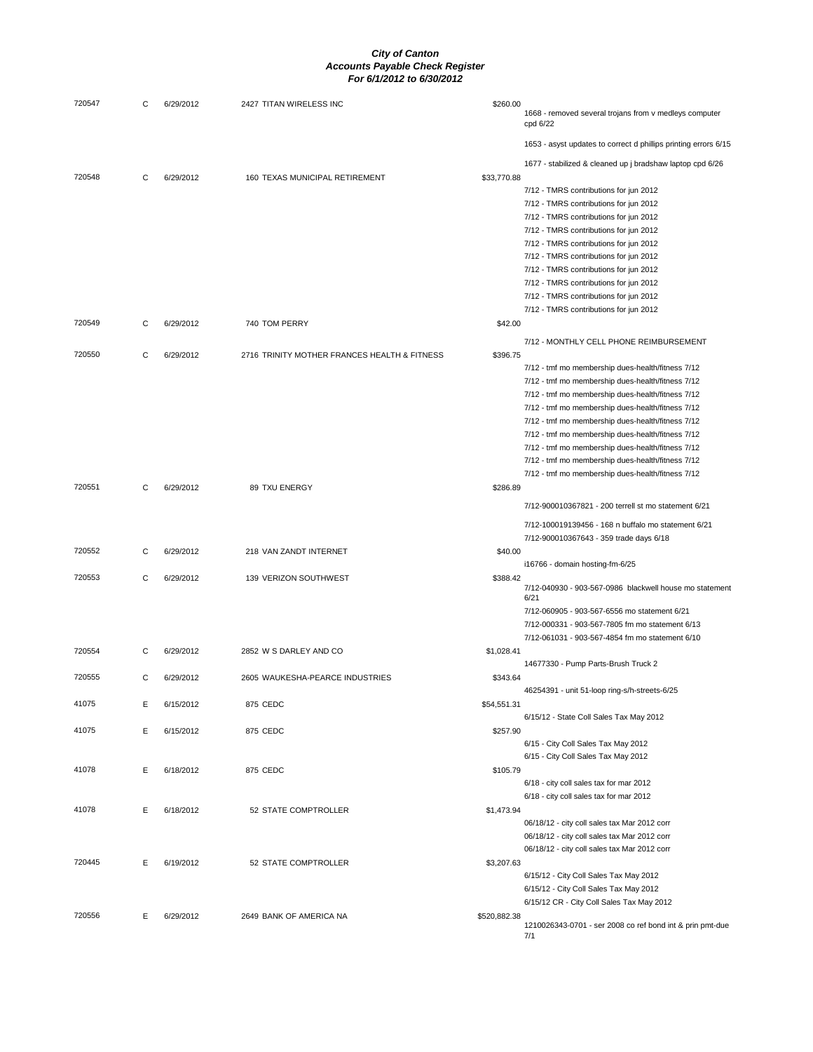| 720547 | С | 6/29/2012 | 2427 TITAN WIRELESS INC                      | \$260.00     |                                                                                                        |
|--------|---|-----------|----------------------------------------------|--------------|--------------------------------------------------------------------------------------------------------|
|        |   |           |                                              |              | 1668 - removed several trojans from v medleys computer<br>cpd 6/22                                     |
|        |   |           |                                              |              | 1653 - asyst updates to correct d phillips printing errors 6/15                                        |
|        |   |           |                                              |              | 1677 - stabilized & cleaned up j bradshaw laptop cpd 6/26                                              |
| 720548 | C | 6/29/2012 | 160 TEXAS MUNICIPAL RETIREMENT               | \$33,770.88  |                                                                                                        |
|        |   |           |                                              |              | 7/12 - TMRS contributions for jun 2012                                                                 |
|        |   |           |                                              |              | 7/12 - TMRS contributions for jun 2012                                                                 |
|        |   |           |                                              |              | 7/12 - TMRS contributions for jun 2012<br>7/12 - TMRS contributions for jun 2012                       |
|        |   |           |                                              |              | 7/12 - TMRS contributions for jun 2012                                                                 |
|        |   |           |                                              |              | 7/12 - TMRS contributions for jun 2012                                                                 |
|        |   |           |                                              |              | 7/12 - TMRS contributions for jun 2012                                                                 |
|        |   |           |                                              |              | 7/12 - TMRS contributions for jun 2012                                                                 |
|        |   |           |                                              |              | 7/12 - TMRS contributions for jun 2012                                                                 |
|        |   |           |                                              |              | 7/12 - TMRS contributions for jun 2012                                                                 |
| 720549 | С | 6/29/2012 | 740 TOM PERRY                                | \$42.00      |                                                                                                        |
|        |   |           |                                              |              | 7/12 - MONTHLY CELL PHONE REIMBURSEMENT                                                                |
| 720550 | С | 6/29/2012 | 2716 TRINITY MOTHER FRANCES HEALTH & FITNESS | \$396.75     |                                                                                                        |
|        |   |           |                                              |              | 7/12 - tmf mo membership dues-health/fitness 7/12                                                      |
|        |   |           |                                              |              | 7/12 - tmf mo membership dues-health/fitness 7/12                                                      |
|        |   |           |                                              |              | 7/12 - tmf mo membership dues-health/fitness 7/12                                                      |
|        |   |           |                                              |              | 7/12 - tmf mo membership dues-health/fitness 7/12<br>7/12 - tmf mo membership dues-health/fitness 7/12 |
|        |   |           |                                              |              | 7/12 - tmf mo membership dues-health/fitness 7/12                                                      |
|        |   |           |                                              |              | 7/12 - tmf mo membership dues-health/fitness 7/12                                                      |
|        |   |           |                                              |              | 7/12 - tmf mo membership dues-health/fitness 7/12                                                      |
|        |   |           |                                              |              | 7/12 - tmf mo membership dues-health/fitness 7/12                                                      |
| 720551 | C | 6/29/2012 | 89 TXU ENERGY                                | \$286.89     |                                                                                                        |
|        |   |           |                                              |              | 7/12-900010367821 - 200 terrell st mo statement 6/21                                                   |
|        |   |           |                                              |              | 7/12-100019139456 - 168 n buffalo mo statement 6/21                                                    |
|        |   |           |                                              |              | 7/12-900010367643 - 359 trade days 6/18                                                                |
| 720552 | C | 6/29/2012 | 218 VAN ZANDT INTERNET                       | \$40.00      |                                                                                                        |
| 720553 | C | 6/29/2012 | 139 VERIZON SOUTHWEST                        |              | i16766 - domain hosting-fm-6/25                                                                        |
|        |   |           |                                              | \$388.42     | 7/12-040930 - 903-567-0986 blackwell house mo statement<br>6/21                                        |
|        |   |           |                                              |              | 7/12-060905 - 903-567-6556 mo statement 6/21                                                           |
|        |   |           |                                              |              | 7/12-000331 - 903-567-7805 fm mo statement 6/13                                                        |
|        |   |           |                                              |              | 7/12-061031 - 903-567-4854 fm mo statement 6/10                                                        |
| 720554 | C | 6/29/2012 | 2852 W S DARLEY AND CO                       | \$1,028.41   |                                                                                                        |
|        |   |           |                                              |              | 14677330 - Pump Parts-Brush Truck 2                                                                    |
| 720555 | С | 6/29/2012 | 2605 WAUKESHA-PEARCE INDUSTRIES              | \$343.64     | 46254391 - unit 51-loop ring-s/h-streets-6/25                                                          |
| 41075  | Е | 6/15/2012 | 875 CEDC                                     | \$54,551.31  |                                                                                                        |
|        |   |           |                                              |              | 6/15/12 - State Coll Sales Tax May 2012                                                                |
| 41075  | Е | 6/15/2012 | 875 CEDC                                     | \$257.90     |                                                                                                        |
|        |   |           |                                              |              | 6/15 - City Coll Sales Tax May 2012                                                                    |
|        |   |           |                                              |              | 6/15 - City Coll Sales Tax May 2012                                                                    |
| 41078  | Е | 6/18/2012 | 875 CEDC                                     | \$105.79     |                                                                                                        |
|        |   |           |                                              |              | 6/18 - city coll sales tax for mar 2012<br>6/18 - city coll sales tax for mar 2012                     |
| 41078  | Ε | 6/18/2012 | 52 STATE COMPTROLLER                         | \$1,473.94   |                                                                                                        |
|        |   |           |                                              |              | 06/18/12 - city coll sales tax Mar 2012 corr                                                           |
|        |   |           |                                              |              | 06/18/12 - city coll sales tax Mar 2012 corr                                                           |
|        |   |           |                                              |              | 06/18/12 - city coll sales tax Mar 2012 corr                                                           |
| 720445 | Ε | 6/19/2012 | 52 STATE COMPTROLLER                         | \$3,207.63   |                                                                                                        |
|        |   |           |                                              |              | 6/15/12 - City Coll Sales Tax May 2012                                                                 |
|        |   |           |                                              |              | 6/15/12 - City Coll Sales Tax May 2012                                                                 |
|        |   |           |                                              |              | 6/15/12 CR - City Coll Sales Tax May 2012                                                              |
| 720556 | Е | 6/29/2012 | 2649 BANK OF AMERICA NA                      | \$520,882.38 |                                                                                                        |
|        |   |           |                                              |              | 1210026343-0701 - ser 2008 co ref bond int & prin pmt-due<br>7/1                                       |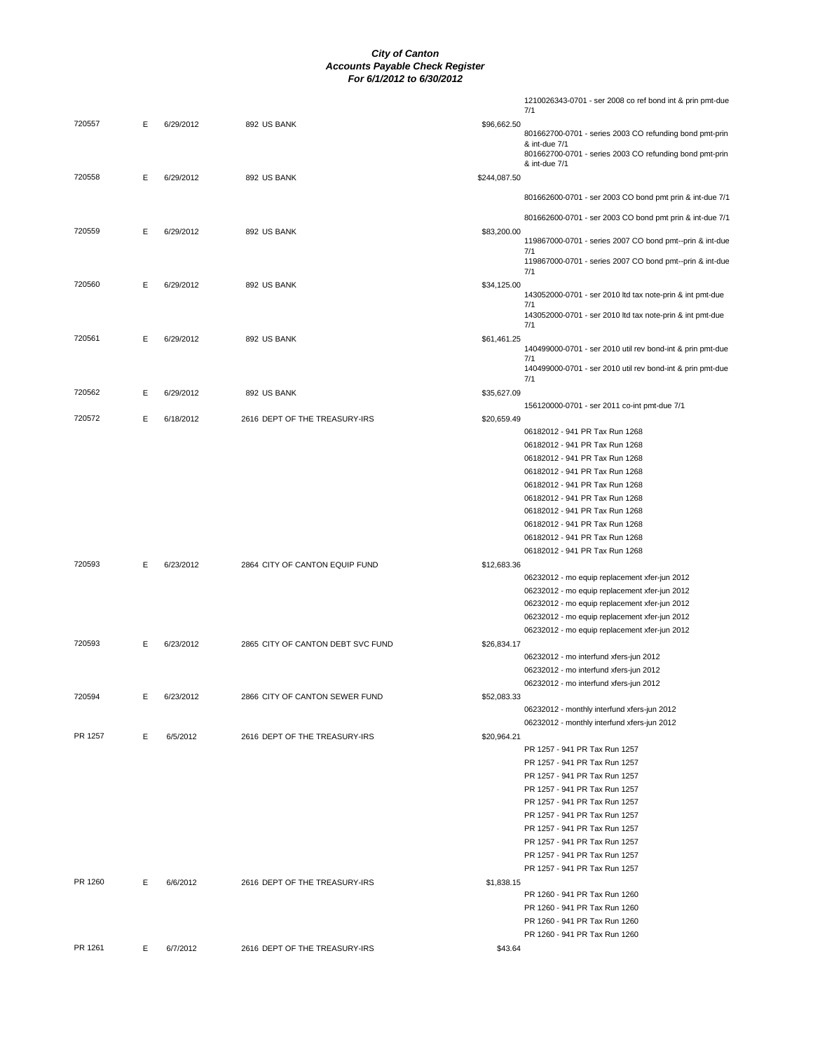|         |   |           |                                   |             | 06232012 - mo equip replacement xfer-jun 2012 |
|---------|---|-----------|-----------------------------------|-------------|-----------------------------------------------|
|         |   |           |                                   |             |                                               |
|         |   |           |                                   |             |                                               |
|         |   |           |                                   |             | 06232012 - mo equip replacement xfer-jun 2012 |
|         |   |           |                                   |             |                                               |
|         |   |           |                                   |             |                                               |
|         |   |           |                                   |             |                                               |
|         |   |           |                                   |             |                                               |
|         |   |           |                                   |             |                                               |
|         |   |           |                                   |             |                                               |
|         |   |           |                                   |             | 06232012 - mo equip replacement xfer-jun 2012 |
|         |   |           |                                   |             | 06232012 - mo equip replacement xfer-jun 2012 |
|         |   |           |                                   |             |                                               |
|         |   |           |                                   |             | 06232012 - mo equip replacement xfer-jun 2012 |
| 720593  | Е | 6/23/2012 | 2865 CITY OF CANTON DEBT SVC FUND | \$26,834.17 |                                               |
|         |   |           |                                   |             |                                               |
|         |   |           |                                   |             | 06232012 - mo interfund xfers-jun 2012        |
|         |   |           |                                   |             | 06232012 - mo interfund xfers-jun 2012        |
|         |   |           |                                   |             |                                               |
|         |   |           |                                   |             | 06232012 - mo interfund xfers-jun 2012        |
| 720594  | Ε | 6/23/2012 | 2866 CITY OF CANTON SEWER FUND    | \$52,083.33 |                                               |
|         |   |           |                                   |             | 06232012 - monthly interfund xfers-jun 2012   |
|         |   |           |                                   |             |                                               |
|         |   |           |                                   |             | 06232012 - monthly interfund xfers-jun 2012   |
| PR 1257 | E | 6/5/2012  | 2616 DEPT OF THE TREASURY-IRS     | \$20,964.21 |                                               |
|         |   |           |                                   |             |                                               |
|         |   |           |                                   |             | PR 1257 - 941 PR Tax Run 1257                 |
|         |   |           |                                   |             | PR 1257 - 941 PR Tax Run 1257                 |
|         |   |           |                                   |             |                                               |
|         |   |           |                                   |             | PR 1257 - 941 PR Tax Run 1257                 |
|         |   |           |                                   |             |                                               |
|         |   |           |                                   |             | PR 1257 - 941 PR Tax Run 1257                 |
|         |   |           |                                   |             |                                               |
|         |   |           |                                   |             | PR 1257 - 941 PR Tax Run 1257                 |
|         |   |           |                                   |             |                                               |
|         |   |           |                                   |             |                                               |
|         |   |           |                                   |             | PR 1257 - 941 PR Tax Run 1257                 |
|         |   |           |                                   |             |                                               |
|         |   |           |                                   |             | PR 1257 - 941 PR Tax Run 1257                 |
|         |   |           |                                   |             |                                               |
|         |   |           |                                   |             | PR 1257 - 941 PR Tax Run 1257                 |
|         |   |           |                                   |             |                                               |
|         |   |           |                                   |             | PR 1257 - 941 PR Tax Run 1257                 |
|         |   |           |                                   |             |                                               |
|         |   |           |                                   |             | PR 1257 - 941 PR Tax Run 1257                 |
|         |   |           |                                   |             |                                               |
|         | E | 6/6/2012  | 2616 DEPT OF THE TREASURY-IRS     | \$1,838.15  |                                               |
| PR 1260 |   |           |                                   |             | PR 1260 - 941 PR Tax Run 1260                 |
|         |   |           |                                   |             |                                               |
|         |   |           |                                   |             |                                               |
|         |   |           |                                   |             | PR 1260 - 941 PR Tax Run 1260                 |
|         |   |           |                                   |             |                                               |
|         |   |           |                                   |             | PR 1260 - 941 PR Tax Run 1260                 |
|         |   |           |                                   |             | PR 1260 - 941 PR Tax Run 1260                 |
| PR 1261 | E | 6/7/2012  | 2616 DEPT OF THE TREASURY-IRS     | \$43.64     |                                               |